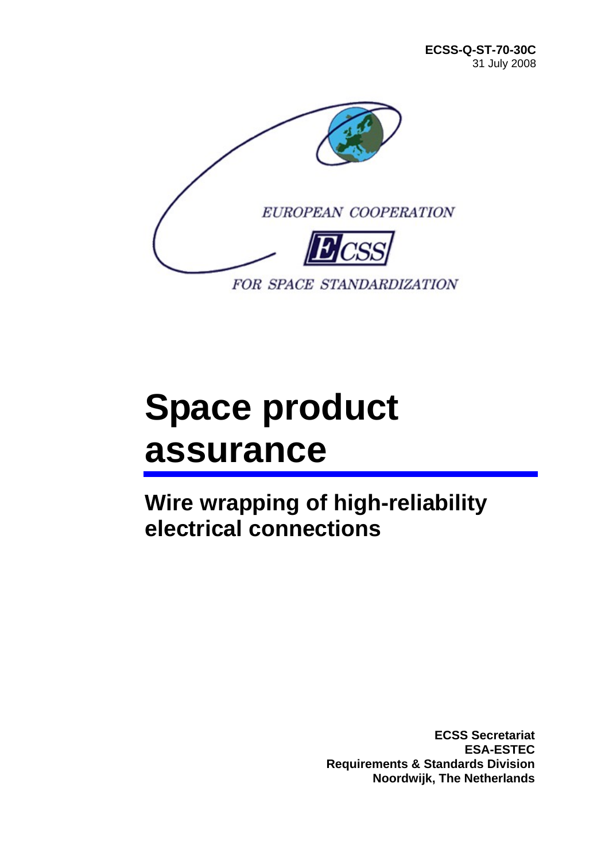

# **Space product assurance**

**Wire wrapping of high-reliability electrical connections** 

> **ECSS Secretariat ESA-ESTEC Requirements & Standards Division Noordwijk, The Netherlands**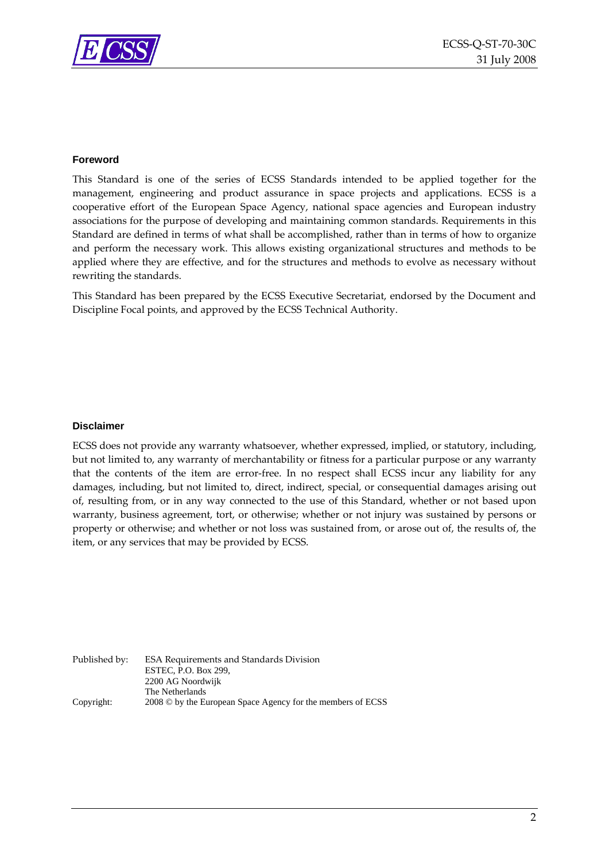

#### **Foreword**

This Standard is one of the series of ECSS Standards intended to be applied together for the management, engineering and product assurance in space projects and applications. ECSS is a cooperative effort of the European Space Agency, national space agencies and European industry associations for the purpose of developing and maintaining common standards. Requirements in this Standard are defined in terms of what shall be accomplished, rather than in terms of how to organize and perform the necessary work. This allows existing organizational structures and methods to be applied where they are effective, and for the structures and methods to evolve as necessary without rewriting the standards.

This Standard has been prepared by the ECSS Executive Secretariat, endorsed by the Document and Discipline Focal points, and approved by the ECSS Technical Authority.

#### **Disclaimer**

ECSS does not provide any warranty whatsoever, whether expressed, implied, or statutory, including, but not limited to, any warranty of merchantability or fitness for a particular purpose or any warranty that the contents of the item are error‐free. In no respect shall ECSS incur any liability for any damages, including, but not limited to, direct, indirect, special, or consequential damages arising out of, resulting from, or in any way connected to the use of this Standard, whether or not based upon warranty, business agreement, tort, or otherwise; whether or not injury was sustained by persons or property or otherwise; and whether or not loss was sustained from, or arose out of, the results of, the item, or any services that may be provided by ECSS.

Published by: ESA Requirements and Standards Division ESTEC, P.O. Box 299, 2200 AG Noordwijk The Netherlands Copyright: 2008 © by the European Space Agency for the members of ECSS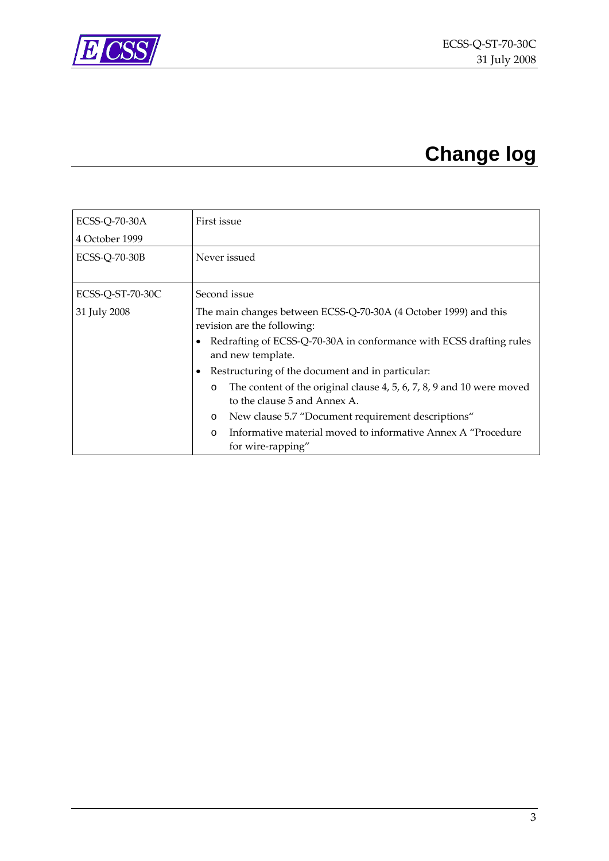<span id="page-2-0"></span>

## **Change log**

| ECSS-Q-70-30A        | First issue                                                                      |  |  |  |
|----------------------|----------------------------------------------------------------------------------|--|--|--|
| 4 October 1999       |                                                                                  |  |  |  |
| <b>ECSS-Q-70-30B</b> | Never issued                                                                     |  |  |  |
|                      |                                                                                  |  |  |  |
| ECSS-Q-ST-70-30C     | Second issue                                                                     |  |  |  |
| 31 July 2008         | The main changes between ECSS-Q-70-30A (4 October 1999) and this                 |  |  |  |
|                      | revision are the following:                                                      |  |  |  |
|                      | Redrafting of ECSS-Q-70-30A in conformance with ECSS drafting rules              |  |  |  |
|                      | and new template.                                                                |  |  |  |
|                      | Restructuring of the document and in particular:                                 |  |  |  |
|                      | The content of the original clause 4, 5, 6, 7, 8, 9 and 10 were moved<br>$\circ$ |  |  |  |
|                      | to the clause 5 and Annex A.                                                     |  |  |  |
|                      | New clause 5.7 "Document requirement descriptions"<br>$\circ$                    |  |  |  |
|                      | Informative material moved to informative Annex A "Procedure<br>$\Omega$         |  |  |  |
|                      | for wire-rapping"                                                                |  |  |  |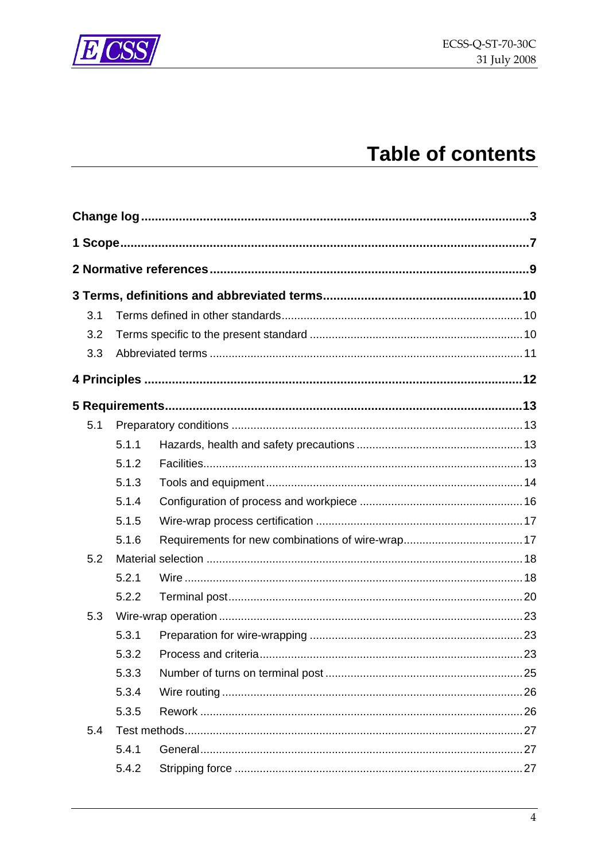

## **Table of contents**

| 3.1 |       |  |
|-----|-------|--|
| 3.2 |       |  |
| 3.3 |       |  |
|     |       |  |
|     |       |  |
| 5.1 |       |  |
|     | 5.1.1 |  |
|     | 5.1.2 |  |
|     | 5.1.3 |  |
|     | 5.1.4 |  |
|     | 5.1.5 |  |
|     | 5.1.6 |  |
| 5.2 |       |  |
|     | 5.2.1 |  |
|     | 5.2.2 |  |
| 5.3 |       |  |
|     | 5.3.1 |  |
|     | 5.3.2 |  |
|     | 5.3.3 |  |
|     | 5.3.4 |  |
|     | 5.3.5 |  |
| 5.4 |       |  |
|     | 5.4.1 |  |
|     | 5.4.2 |  |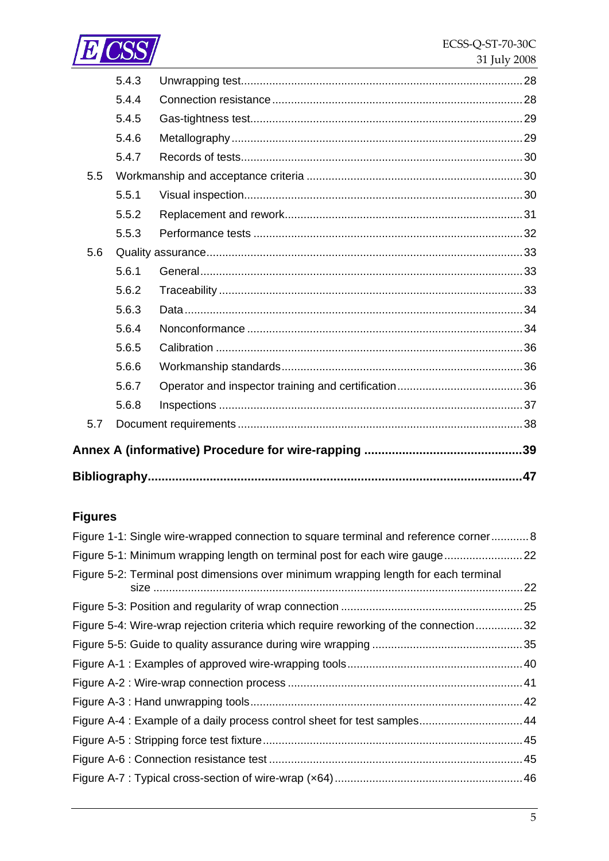

|     | 5.4.3 |     |
|-----|-------|-----|
|     | 5.4.4 |     |
|     | 5.4.5 |     |
|     | 5.4.6 |     |
|     | 5.4.7 |     |
| 5.5 |       |     |
|     | 5.5.1 |     |
|     | 5.5.2 |     |
|     | 5.5.3 |     |
| 5.6 |       |     |
|     | 5.6.1 |     |
|     | 5.6.2 |     |
|     | 5.6.3 |     |
|     | 5.6.4 |     |
|     | 5.6.5 |     |
|     | 5.6.6 |     |
|     | 5.6.7 |     |
|     | 5.6.8 |     |
| 5.7 |       |     |
|     |       |     |
|     |       |     |
|     |       | .47 |

## **Figures**

| Figure 1-1: Single wire-wrapped connection to square terminal and reference corner 8 |    |
|--------------------------------------------------------------------------------------|----|
| Figure 5-1: Minimum wrapping length on terminal post for each wire gauge22           |    |
| Figure 5-2: Terminal post dimensions over minimum wrapping length for each terminal  | 22 |
|                                                                                      | 25 |
| Figure 5-4: Wire-wrap rejection criteria which require reworking of the connection32 |    |
|                                                                                      |    |
|                                                                                      |    |
|                                                                                      |    |
|                                                                                      |    |
| Figure A-4 : Example of a daily process control sheet for test samples 44            |    |
|                                                                                      |    |
|                                                                                      |    |
|                                                                                      |    |
|                                                                                      |    |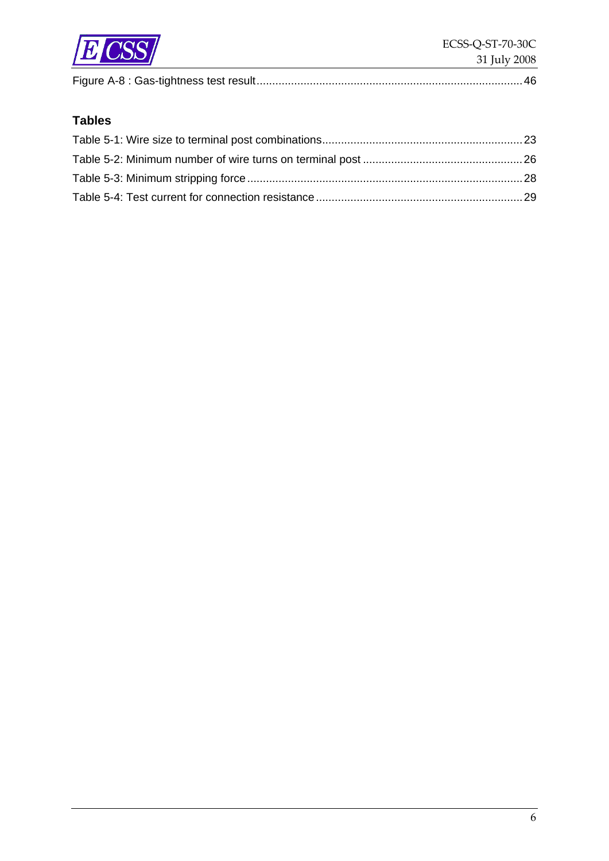

|--|

## **Tables**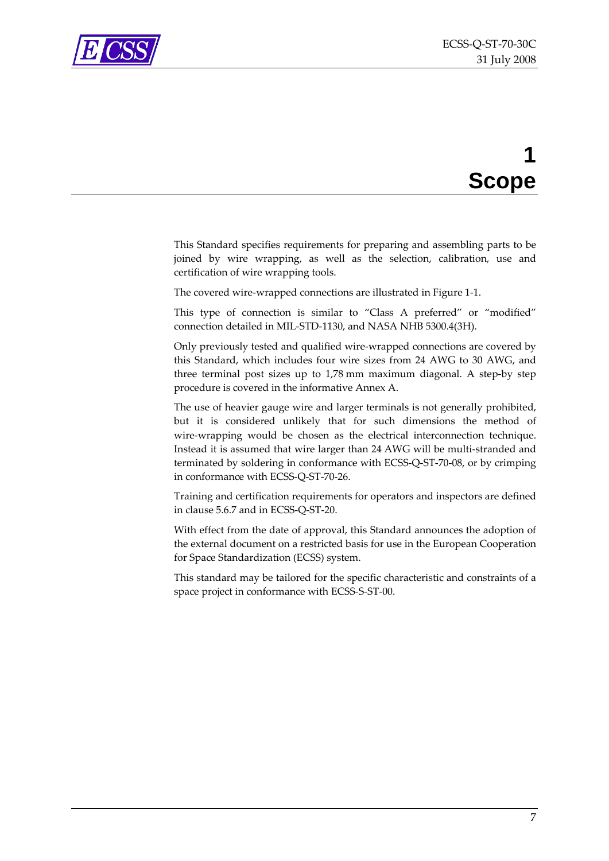<span id="page-6-0"></span>

## **1 Scope**

This Standard specifies requirements for preparing and assembling parts to be joined by wire wrapping, as well as the selection, calibration, use and certification of wire wrapping tools.

The covered wire‐wrapped connections are illustrated in [Figure](#page-7-1) 1‐1.

This type of connection is similar to "Class A preferred" or "modified" connection detailed in MIL‐STD‐1130, and NASA NHB 5300.4(3H).

Only previously tested and qualified wire‐wrapped connections are covered by this Standard, which includes four wire sizes from 24 AWG to 30 AWG, and three terminal post sizes up to 1,78 mm maximum diagonal. A step‐by step procedure is covered in the informative [Annex](#page-38-1) A.

The use of heavier gauge wire and larger terminals is not generally prohibited, but it is considered unlikely that for such dimensions the method of wire-wrapping would be chosen as the electrical interconnection technique. Instead it is assumed that wire larger than 24 AWG will be multi‐stranded and terminated by soldering in conformance with ECSS‐Q‐ST‐70‐08, or by crimping in conformance with ECSS‐Q‐ST‐70‐26.

Training and certification requirements for operators and inspectors are defined in clause [5.6.7](#page-35-1) and in ECSS‐Q‐ST‐20.

With effect from the date of approval, this Standard announces the adoption of the external document on a restricted basis for use in the European Cooperation for Space Standardization (ECSS) system.

This standard may be tailored for the specific characteristic and constraints of a space project in conformance with ECSS-S-ST-00.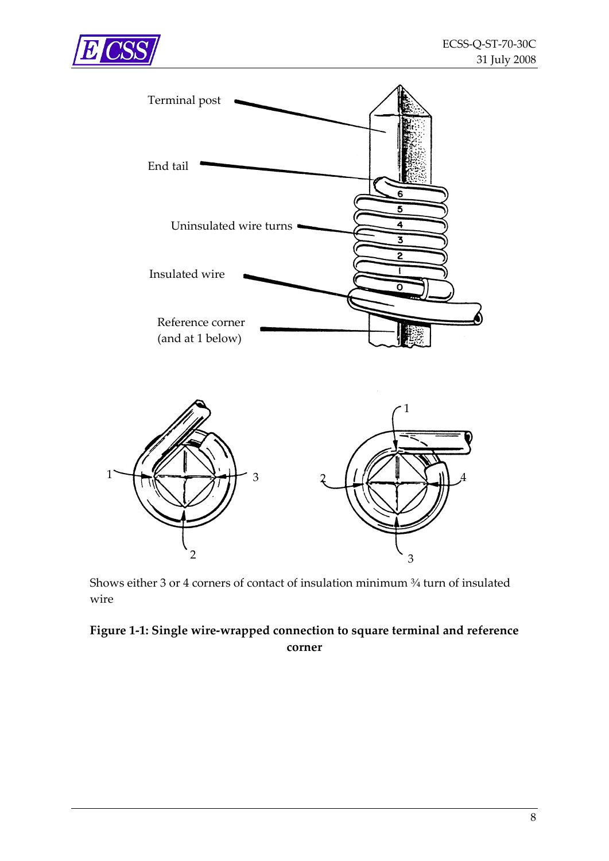<span id="page-7-0"></span>

1



Shows either 3 or 4 corners of contact of insulation minimum ¾ turn of insulated wire

3

#### <span id="page-7-1"></span>**Figure 1‐1: Single wire‐wrapped connection to square terminal and reference corner**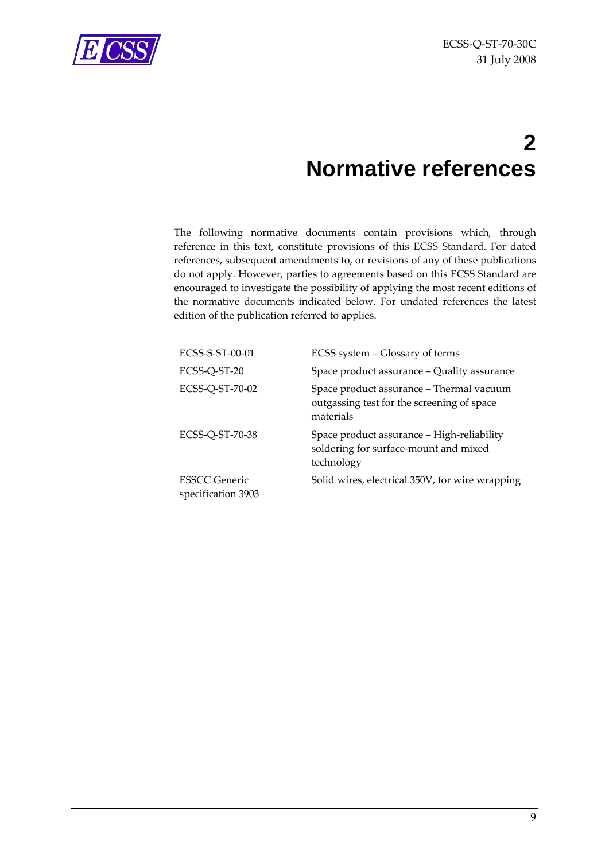<span id="page-8-0"></span>

## **2 Normative references**

The following normative documents contain provisions which, through reference in this text, constitute provisions of this ECSS Standard. For dated references, subsequent amendments to, or revisions of any of these publications do not apply. However, parties to agreements based on this ECSS Standard are encouraged to investigate the possibility of applying the most recent editions of the normative documents indicated below. For undated references the latest edition of the publication referred to applies.

| ECSS-S-ST-00-01                     | ECSS system – Glossary of terms                                                                     |
|-------------------------------------|-----------------------------------------------------------------------------------------------------|
| ECSS-Q-ST-20                        | Space product assurance - Quality assurance                                                         |
| ECSS-Q-ST-70-02                     | Space product assurance – Thermal vacuum<br>outgassing test for the screening of space<br>materials |
| ECSS-Q-ST-70-38                     | Space product assurance - High-reliability<br>soldering for surface-mount and mixed<br>technology   |
| ESSCC Generic<br>specification 3903 | Solid wires, electrical 350V, for wire wrapping                                                     |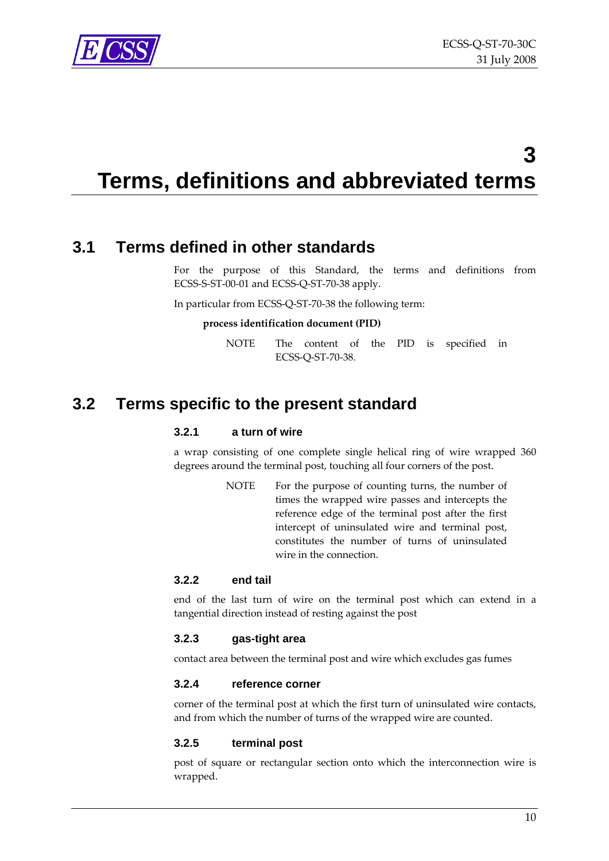<span id="page-9-0"></span>

## **3 Terms, definitions and abbreviated terms**

## **3.1 Terms defined in other standards**

For the purpose of this Standard, the terms and definitions from ECSS‐S‐ST‐00‐01 and ECSS‐Q‐ST‐70‐38 apply.

In particular from ECSS‐Q‐ST‐70‐38 the following term:

#### **process identification document (PID)**

NOTE The content of the PID is specified in ECSS‐Q‐ST‐70‐38.

## **3.2 Terms specific to the present standard**

#### **3.2.1 a turn of wire**

a wrap consisting of one complete single helical ring of wire wrapped 360 degrees around the terminal post, touching all four corners of the post.

> NOTE For the purpose of counting turns, the number of times the wrapped wire passes and intercepts the reference edge of the terminal post after the first intercept of uninsulated wire and terminal post, constitutes the number of turns of uninsulated wire in the connection.

#### **3.2.2 end tail**

end of the last turn of wire on the terminal post which can extend in a tangential direction instead of resting against the post

#### **3.2.3 gas-tight area**

contact area between the terminal post and wire which excludes gas fumes

#### **3.2.4 reference corner**

corner of the terminal post at which the first turn of uninsulated wire contacts, and from which the number of turns of the wrapped wire are counted.

#### **3.2.5 terminal post**

post of square or rectangular section onto which the interconnection wire is wrapped.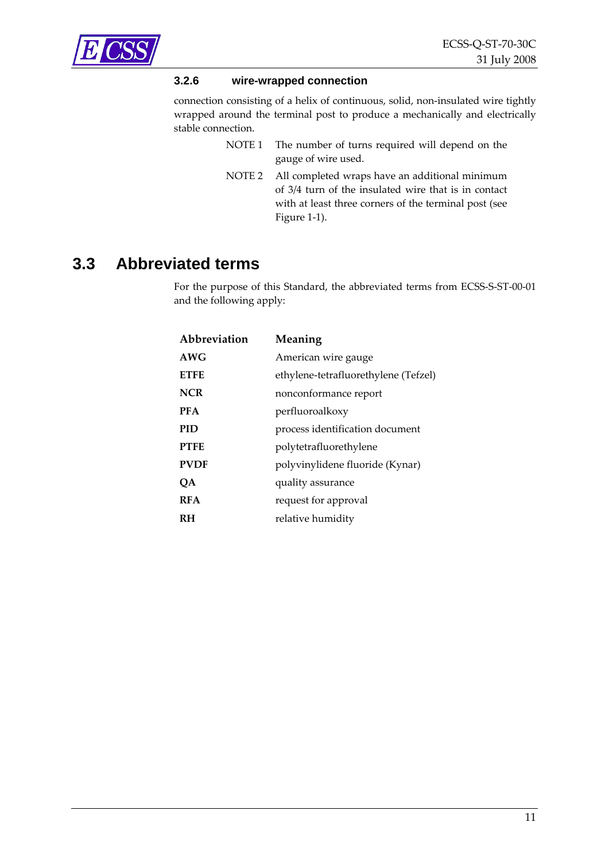<span id="page-10-0"></span>

#### **3.2.6 wire-wrapped connection**

connection consisting of a helix of continuous, solid, non-insulated wire tightly wrapped around the terminal post to produce a mechanically and electrically stable connection.

- NOTE 1 The number of turns required will depend on the gauge of wire used.
- NOTE 2 All completed wraps have an additional minimum of 3/4 turn of the insulated wire that is in contact with at least three corners of the terminal post (see [Figure](#page-7-1) 1‐1).

## **3.3 Abbreviated terms**

For the purpose of this Standard, the abbreviated terms from ECSS‐S‐ST‐00‐01 and the following apply:

| Abbreviation | Meaning                              |
|--------------|--------------------------------------|
| AWG          | American wire gauge                  |
| <b>ETFE</b>  | ethylene-tetrafluorethylene (Tefzel) |
| <b>NCR</b>   | nonconformance report                |
| <b>PFA</b>   | perfluoroalkoxy                      |
| PID          | process identification document      |
| <b>PTFE</b>  | polytetrafluorethylene               |
| <b>PVDF</b>  | polyvinylidene fluoride (Kynar)      |
| ОA           | quality assurance                    |
| <b>RFA</b>   | request for approval                 |
| RH           | relative humidity                    |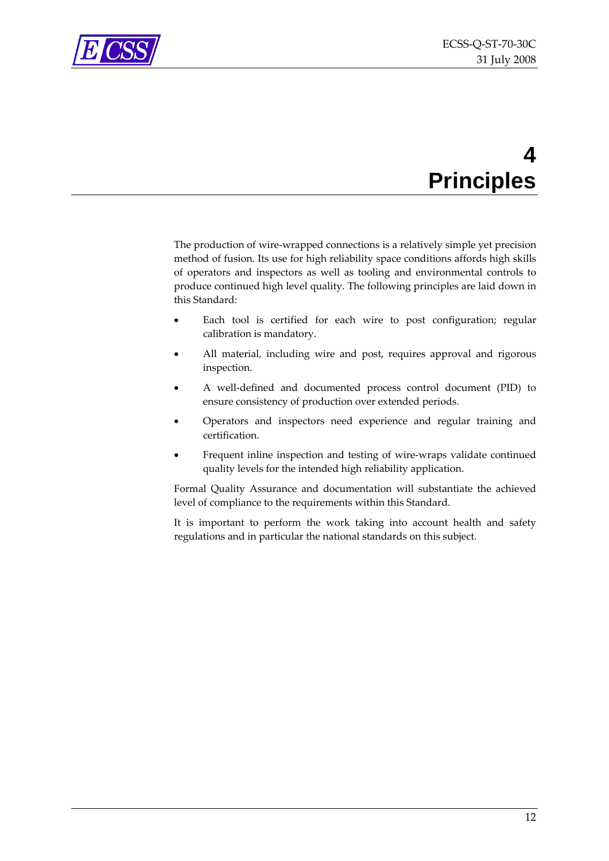<span id="page-11-0"></span>

## **4 Principles**

The production of wire-wrapped connections is a relatively simple yet precision method of fusion. Its use for high reliability space conditions affords high skills of operators and inspectors as well as tooling and environmental controls to produce continued high level quality. The following principles are laid down in this Standard:

- Each tool is certified for each wire to post configuration; regular calibration is mandatory.
- All material, including wire and post, requires approval and rigorous inspection.
- A well‐defined and documented process control document (PID) to ensure consistency of production over extended periods.
- Operators and inspectors need experience and regular training and certification.
- Frequent inline inspection and testing of wire-wraps validate continued quality levels for the intended high reliability application.

Formal Quality Assurance and documentation will substantiate the achieved level of compliance to the requirements within this Standard.

It is important to perform the work taking into account health and safety regulations and in particular the national standards on this subject.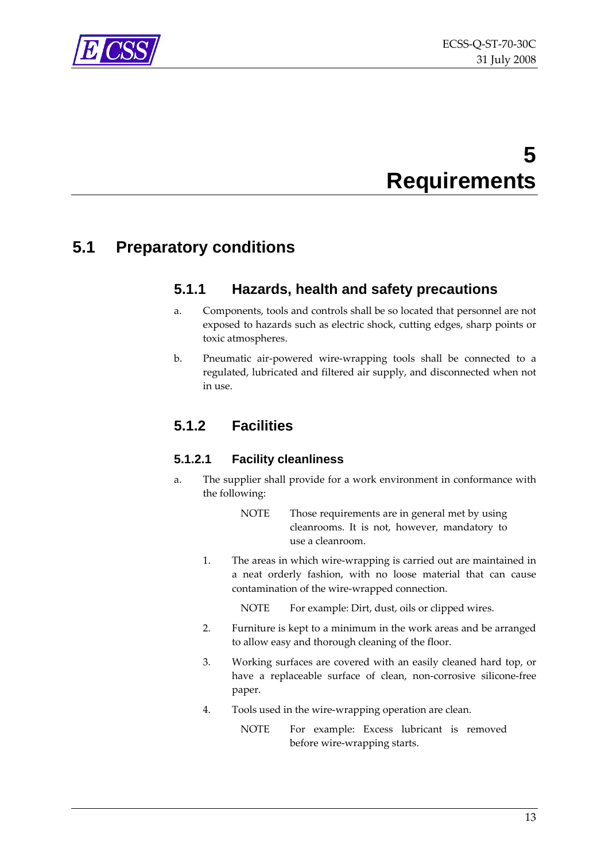

<span id="page-12-0"></span>

## **5 Requirements**

## <span id="page-12-1"></span>**5.1 Preparatory conditions**

## **5.1.1 Hazards, health and safety precautions**

- a. Components, tools and controls shall be so located that personnel are not exposed to hazards such as electric shock, cutting edges, sharp points or toxic atmospheres.
- b. Pneumatic air‐powered wire‐wrapping tools shall be connected to a regulated, lubricated and filtered air supply, and disconnected when not in use.

## **5.1.2 Facilities**

#### **5.1.2.1 Facility cleanliness**

a. The supplier shall provide for a work environment in conformance with the following:

> NOTE Those requirements are in general met by using cleanrooms. It is not, however, mandatory to use a cleanroom.

1. The areas in which wire‐wrapping is carried out are maintained in a neat orderly fashion, with no loose material that can cause contamination of the wire‐wrapped connection.

NOTE For example: Dirt, dust, oils or clipped wires.

- 2. Furniture is kept to a minimum in the work areas and be arranged to allow easy and thorough cleaning of the floor.
- 3. Working surfaces are covered with an easily cleaned hard top, or have a replaceable surface of clean, non-corrosive silicone-free paper.
- 4. Tools used in the wire‐wrapping operation are clean.

NOTE For example: Excess lubricant is removed before wire‐wrapping starts.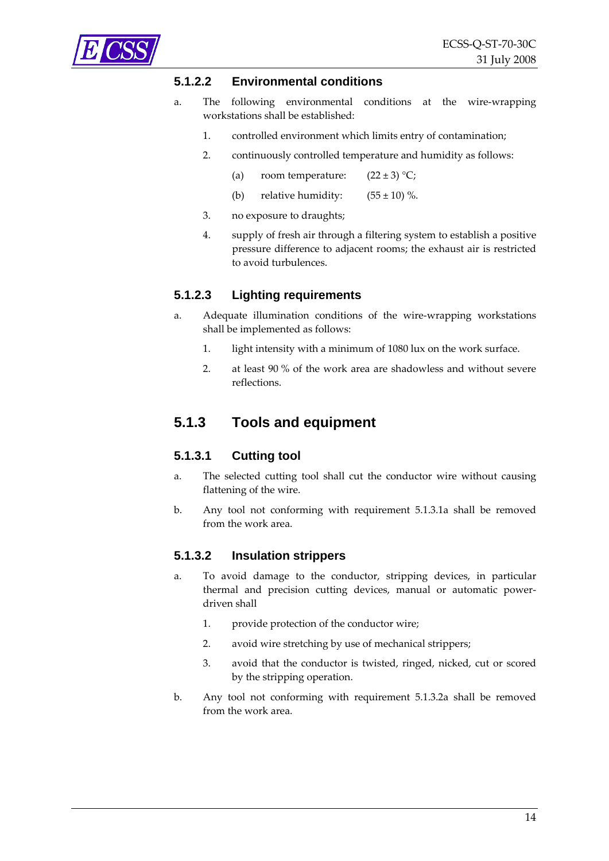

<span id="page-13-0"></span>

#### **5.1.2.2 Environmental conditions**

- a. The following environmental conditions at the wire‐wrapping workstations shall be established:
	- 1. controlled environment which limits entry of contamination;
	- 2. continuously controlled temperature and humidity as follows:
		- (a) room temperature:  $(22 \pm 3)$  °C;
		- (b) relative humidity:  $(55 \pm 10)$  %.
	- 3. no exposure to draughts;
	- 4. supply of fresh air through a filtering system to establish a positive pressure difference to adjacent rooms; the exhaust air is restricted to avoid turbulences.

#### **5.1.2.3 Lighting requirements**

- a. Adequate illumination conditions of the wire‐wrapping workstations shall be implemented as follows:
	- 1. light intensity with a minimum of 1080 lux on the work surface.
	- 2. at least 90 % of the work area are shadowless and without severe reflections.

#### <span id="page-13-4"></span>**5.1.3 Tools and equipment**

#### **5.1.3.1 Cutting tool**

- <span id="page-13-1"></span>a. The selected cutting tool shall cut the conductor wire without causing flattening of the wire.
- b. Any tool not conforming with requirement [5.1.3.1a](#page-13-1) shall be removed from the work area.

#### <span id="page-13-3"></span>**5.1.3.2 Insulation strippers**

- <span id="page-13-2"></span>a. To avoid damage to the conductor, stripping devices, in particular thermal and precision cutting devices, manual or automatic powerdriven shall
	- 1. provide protection of the conductor wire;
	- 2. avoid wire stretching by use of mechanical strippers;
	- 3. avoid that the conductor is twisted, ringed, nicked, cut or scored by the stripping operation.
- b. Any tool not conforming with requirement [5.1.3.2a](#page-13-2) shall be removed from the work area.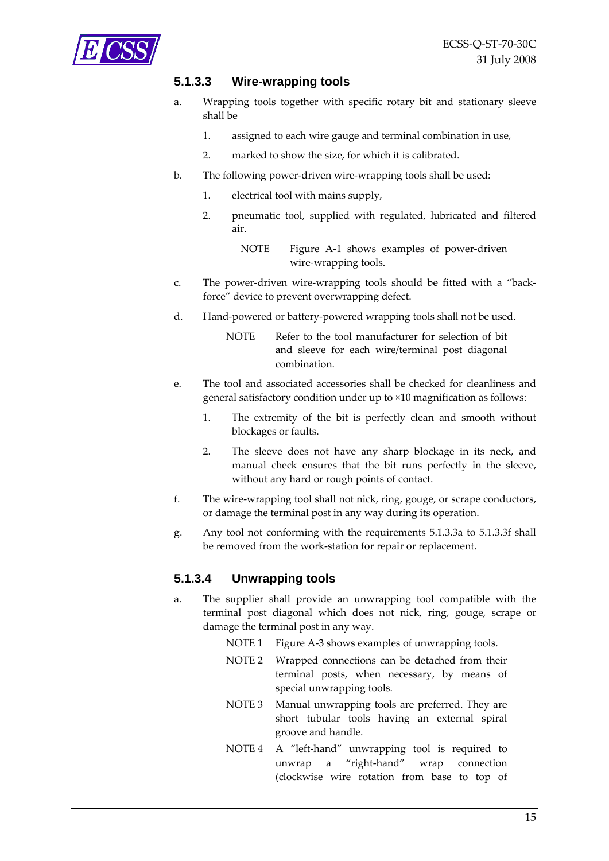<span id="page-14-3"></span><span id="page-14-0"></span>

#### **5.1.3.3 Wire-wrapping tools**

- a. Wrapping tools together with specific rotary bit and stationary sleeve shall be
	- 1. assigned to each wire gauge and terminal combination in use,
	- 2. marked to show the size, for which it is calibrated.
- b. The following power-driven wire-wrapping tools shall be used:
	- 1. electrical tool with mains supply,
	- 2. pneumatic tool, supplied with regulated, lubricated and filtered air.
		- NOTE [Figure](#page-39-1) A-1 shows examples of power-driven wire‐wrapping tools.
- c. The power-driven wire-wrapping tools should be fitted with a "backforce" device to prevent overwrapping defect.
- d. Hand‐powered or battery‐powered wrapping tools shall not be used.
	- NOTE Refer to the tool manufacturer for selection of bit and sleeve for each wire/terminal post diagonal combination.
- e. The tool and associated accessories shall be checked for cleanliness and general satisfactory condition under up to ×10 magnification as follows:
	- 1. The extremity of the bit is perfectly clean and smooth without blockages or faults.
	- 2. The sleeve does not have any sharp blockage in its neck, and manual check ensures that the bit runs perfectly in the sleeve, without any hard or rough points of contact.
- <span id="page-14-1"></span>f. The wire‐wrapping tool shall not nick, ring, gouge, or scrape conductors, or damage the terminal post in any way during its operation.
- g. Any tool not conforming with the requirements [5.1.3.3a](#page-14-0) to [5.1.3.3f](#page-14-1) shall be removed from the work‐station for repair or replacement.

#### <span id="page-14-2"></span>**5.1.3.4 Unwrapping tools**

- a. The supplier shall provide an unwrapping tool compatible with the terminal post diagonal which does not nick, ring, gouge, scrape or damage the terminal post in any way.
	- NOTE 1 [Figure](#page-41-1) A-3 shows examples of unwrapping tools.
	- NOTE 2 Wrapped connections can be detached from their terminal posts, when necessary, by means of special unwrapping tools.
	- NOTE 3 Manual unwrapping tools are preferred. They are short tubular tools having an external spiral groove and handle.
	- NOTE 4 A "left‐hand" unwrapping tool is required to unwrap a "right‐hand" wrap connection (clockwise wire rotation from base to top of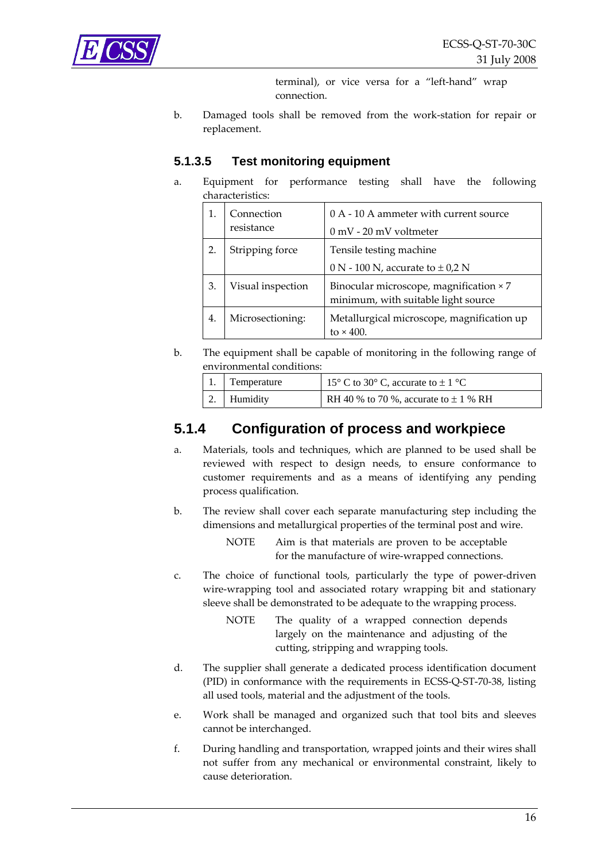<span id="page-15-3"></span><span id="page-15-0"></span>

terminal), or vice versa for a "left-hand" wrap connection.

b. Damaged tools shall be removed from the work‐station for repair or replacement.

#### **5.1.3.5 Test monitoring equipment**

a. Equipment for performance testing shall have the following characteristics:

|    | Connection<br>resistance | 0 A - 10 A ammeter with current source<br>$0 \text{ mV}$ - 20 mV voltmeter     |
|----|--------------------------|--------------------------------------------------------------------------------|
|    | Stripping force          | Tensile testing machine                                                        |
|    |                          | 0 N - 100 N, accurate to $\pm$ 0,2 N                                           |
| 3. | Visual inspection        | Binocular microscope, magnification × 7<br>minimum, with suitable light source |
| 4. | Microsectioning:         | Metallurgical microscope, magnification up<br>to $\times$ 400.                 |

b. The equipment shall be capable of monitoring in the following range of environmental conditions:

| 1. Temperature | 15° C to 30° C, accurate to $\pm$ 1 °C    |
|----------------|-------------------------------------------|
| 2. Humidity    | RH 40 % to 70 %, accurate to $\pm$ 1 % RH |

### <span id="page-15-1"></span>**5.1.4 Configuration of process and workpiece**

- a. Materials, tools and techniques, which are planned to be used shall be reviewed with respect to design needs, to ensure conformance to customer requirements and as a means of identifying any pending process qualification.
- b. The review shall cover each separate manufacturing step including the dimensions and metallurgical properties of the terminal post and wire.

NOTE Aim is that materials are proven to be acceptable for the manufacture of wire‐wrapped connections.

- c. The choice of functional tools, particularly the type of power-driven wire-wrapping tool and associated rotary wrapping bit and stationary sleeve shall be demonstrated to be adequate to the wrapping process.
	- NOTE The quality of a wrapped connection depends largely on the maintenance and adjusting of the cutting, stripping and wrapping tools.
- <span id="page-15-2"></span>d. The supplier shall generate a dedicated process identification document (PID) in conformance with the requirements in ECSS‐Q‐ST‐70‐38, listing all used tools, material and the adjustment of the tools.
- e. Work shall be managed and organized such that tool bits and sleeves cannot be interchanged.
- f. During handling and transportation, wrapped joints and their wires shall not suffer from any mechanical or environmental constraint, likely to cause deterioration.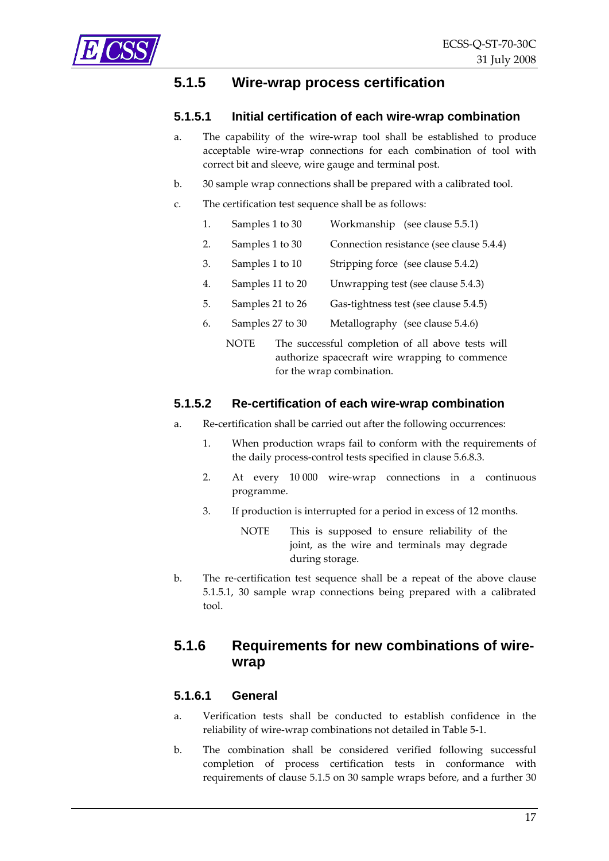<span id="page-16-2"></span><span id="page-16-1"></span><span id="page-16-0"></span>

### **5.1.5 Wire-wrap process certification**

#### **5.1.5.1 Initial certification of each wire-wrap combination**

- a. The capability of the wire‐wrap tool shall be established to produce acceptable wire‐wrap connections for each combination of tool with correct bit and sleeve, wire gauge and terminal post.
- b. 30 sample wrap connections shall be prepared with a calibrated tool.
- c. The certification test sequence shall be as follows:
	- 1. Samples 1 to 30 Workmanship (see clause [5.5.1\)](#page-29-1)
	- 2. Samples 1 to 30 Connection resistance (see clause [5.4.4\)](#page-27-1)
	- 3. Samples 1 to 10 Stripping force (see clause [5.4.2\)](#page-26-1)
	- 4. Samples 11 to 20 Unwrapping test (see clause [5.4.3](#page-27-2))
	- 5. Samples 21 to 26 Gas-tightness test (see clause [5.4.5](#page-28-1))
	- 6. Samples 27 to 30 Metallography (see clause [5.4.6\)](#page-28-2)
		- NOTE The successful completion of all above tests will authorize spacecraft wire wrapping to commence for the wrap combination.

#### **5.1.5.2 Re-certification of each wire-wrap combination**

- a. Re‐certification shall be carried out after the following occurrences:
	- 1. When production wraps fail to conform with the requirements of the daily process‐control tests specified in clause [5.6.8.3](#page-36-1).
	- 2. At every 10 000 wire‐wrap connections in a continuous programme.
	- 3. If production is interrupted for a period in excess of 12 months.
		- NOTE This is supposed to ensure reliability of the joint, as the wire and terminals may degrade during storage.
- b. The re-certification test sequence shall be a repeat of the above clause [5.1.5.1](#page-16-1), 30 sample wrap connections being prepared with a calibrated tool.

## <span id="page-16-3"></span>**5.1.6 Requirements for new combinations of wirewrap**

#### **5.1.6.1 General**

- a. Verification tests shall be conducted to establish confidence in the reliability of wire‐wrap combinations not detailed in [Table](#page-22-1) 5‐1.
- b. The combination shall be considered verified following successful completion of process certification tests in conformance with requirements of clause [5.1.5](#page-16-2) on 30 sample wraps before, and a further 30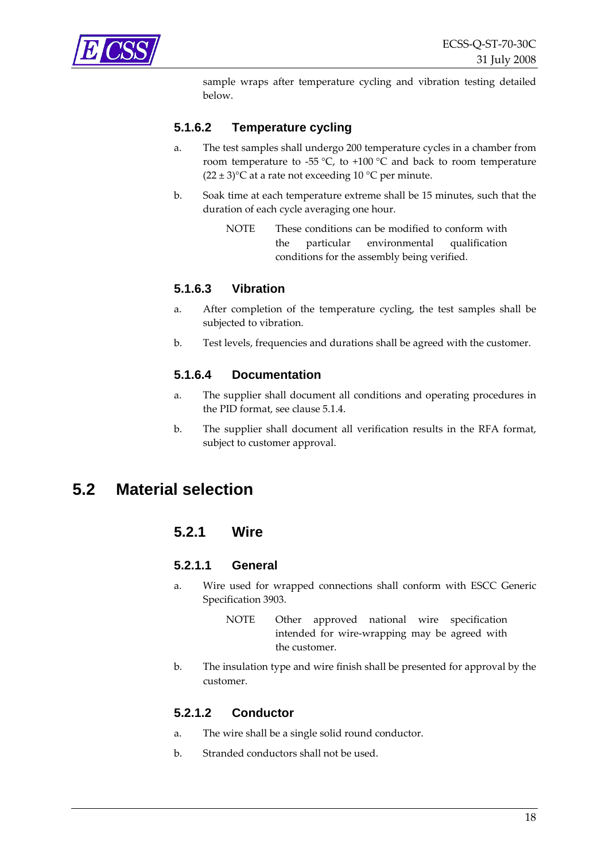<span id="page-17-0"></span>

sample wraps after temperature cycling and vibration testing detailed below.

#### **5.1.6.2 Temperature cycling**

- a. The test samples shall undergo 200 temperature cycles in a chamber from room temperature to -55 °C, to +100 °C and back to room temperature  $(22 \pm 3)$ °C at a rate not exceeding 10 °C per minute.
- b. Soak time at each temperature extreme shall be 15 minutes, such that the duration of each cycle averaging one hour.
	- NOTE These conditions can be modified to conform with the particular environmental qualification conditions for the assembly being verified.

#### **5.1.6.3 Vibration**

- a. After completion of the temperature cycling, the test samples shall be subjected to vibration.
- b. Test levels, frequencies and durations shall be agreed with the customer.

#### **5.1.6.4 Documentation**

- a. The supplier shall document all conditions and operating procedures in the PID format, see clause [5.1.4.](#page-15-1)
- b. The supplier shall document all verification results in the RFA format, subject to customer approval.

## <span id="page-17-1"></span>**5.2 Material selection**

#### **5.2.1 Wire**

#### **5.2.1.1 General**

- a. Wire used for wrapped connections shall conform with ESCC Generic Specification 3903.
	- NOTE Other approved national wire specification intended for wire‐wrapping may be agreed with the customer.
- b. The insulation type and wire finish shall be presented for approval by the customer.

#### **5.2.1.2 Conductor**

- a. The wire shall be a single solid round conductor.
- b. Stranded conductors shall not be used.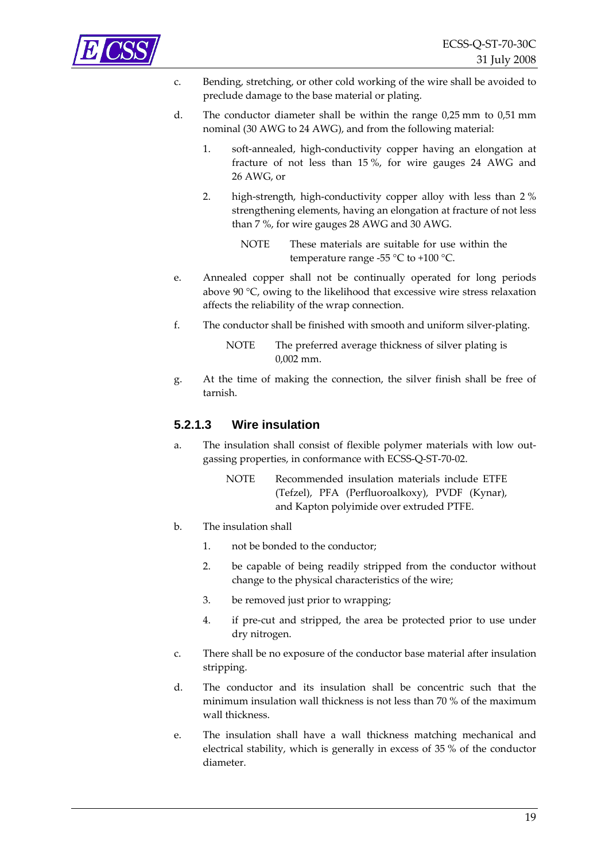

- c. Bending, stretching, or other cold working of the wire shall be avoided to preclude damage to the base material or plating.
- d. The conductor diameter shall be within the range 0,25 mm to 0,51 mm nominal (30 AWG to 24 AWG), and from the following material:
	- 1. soft-annealed, high-conductivity copper having an elongation at fracture of not less than 15 %, for wire gauges 24 AWG and 26 AWG, or
	- 2. high-strength, high-conductivity copper alloy with less than 2 % strengthening elements, having an elongation at fracture of not less than 7 %, for wire gauges 28 AWG and 30 AWG.
		- NOTE These materials are suitable for use within the temperature range -55  $\degree$ C to +100  $\degree$ C.
- e. Annealed copper shall not be continually operated for long periods above 90 °C, owing to the likelihood that excessive wire stress relaxation affects the reliability of the wrap connection.
- f. The conductor shall be finished with smooth and uniform silver-plating.

NOTE The preferred average thickness of silver plating is 0,002 mm.

g. At the time of making the connection, the silver finish shall be free of tarnish.

#### **5.2.1.3 Wire insulation**

- a. The insulation shall consist of flexible polymer materials with low outgassing properties, in conformance with ECSS‐Q‐ST‐70‐02.
	- NOTE Recommended insulation materials include ETFE (Tefzel), PFA (Perfluoroalkoxy), PVDF (Kynar), and Kapton polyimide over extruded PTFE.
- b. The insulation shall
	- 1. not be bonded to the conductor;
	- 2. be capable of being readily stripped from the conductor without change to the physical characteristics of the wire;
	- 3. be removed just prior to wrapping;
	- 4. if pre‐cut and stripped, the area be protected prior to use under dry nitrogen.
- c. There shall be no exposure of the conductor base material after insulation stripping.
- d. The conductor and its insulation shall be concentric such that the minimum insulation wall thickness is not less than 70 % of the maximum wall thickness.
- e. The insulation shall have a wall thickness matching mechanical and electrical stability, which is generally in excess of 35 % of the conductor diameter.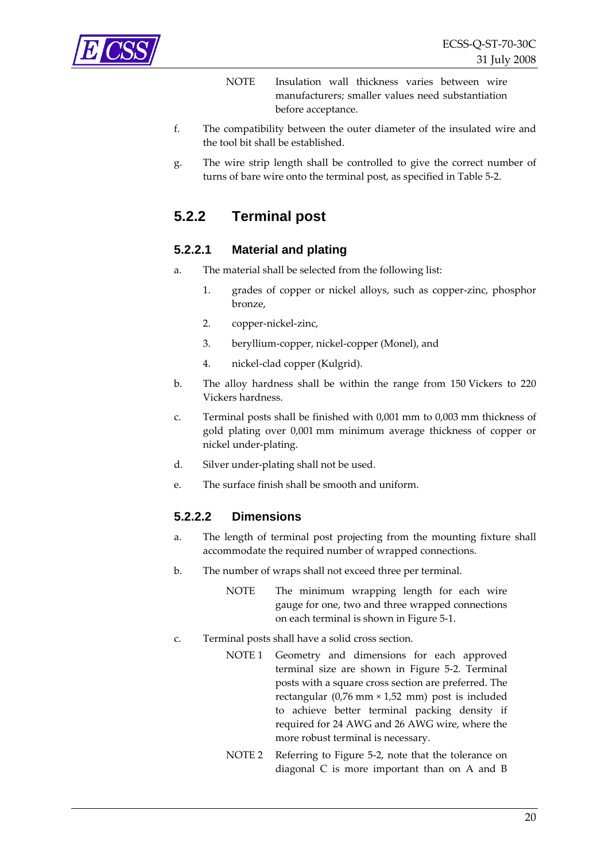<span id="page-19-0"></span>

- NOTE Insulation wall thickness varies between wire manufacturers; smaller values need substantiation before acceptance.
- f. The compatibility between the outer diameter of the insulated wire and the tool bit shall be established.
- g. The wire strip length shall be controlled to give the correct number of turns of bare wire onto the terminal post, as specified in [Table](#page-25-1) 5‐2.

## <span id="page-19-1"></span>**5.2.2 Terminal post**

#### **5.2.2.1 Material and plating**

- a. The material shall be selected from the following list:
	- 1. grades of copper or nickel alloys, such as copper‐zinc, phosphor bronze,
	- 2. copper‐nickel‐zinc,
	- 3. beryllium‐copper, nickel‐copper (Monel), and
	- 4. nickel‐clad copper (Kulgrid).
- b. The alloy hardness shall be within the range from 150 Vickers to 220 Vickers hardness.
- c. Terminal posts shall be finished with 0,001 mm to 0,003 mm thickness of gold plating over 0,001 mm minimum average thickness of copper or nickel under‐plating.
- d. Silver under‐plating shall not be used.
- e. The surface finish shall be smooth and uniform.

#### **5.2.2.2 Dimensions**

- a. The length of terminal post projecting from the mounting fixture shall accommodate the required number of wrapped connections.
- b. The number of wraps shall not exceed three per terminal.
	- NOTE The minimum wrapping length for each wire gauge for one, two and three wrapped connections on each terminal is shown in [Figure](#page-21-1) 5‐1.
- c. Terminal posts shall have a solid cross section.
	- NOTE 1 Geometry and dimensions for each approved terminal size are shown in [Figure](#page-21-2) 5‐2. Terminal posts with a square cross section are preferred. The rectangular  $(0.76 \text{ mm} \times 1.52 \text{ mm})$  post is included to achieve better terminal packing density if required for 24 AWG and 26 AWG wire, where the more robust terminal is necessary.
	- NOTE 2 Referring to [Figure](#page-21-2) 5-2, note that the tolerance on diagonal C is more important than on A and B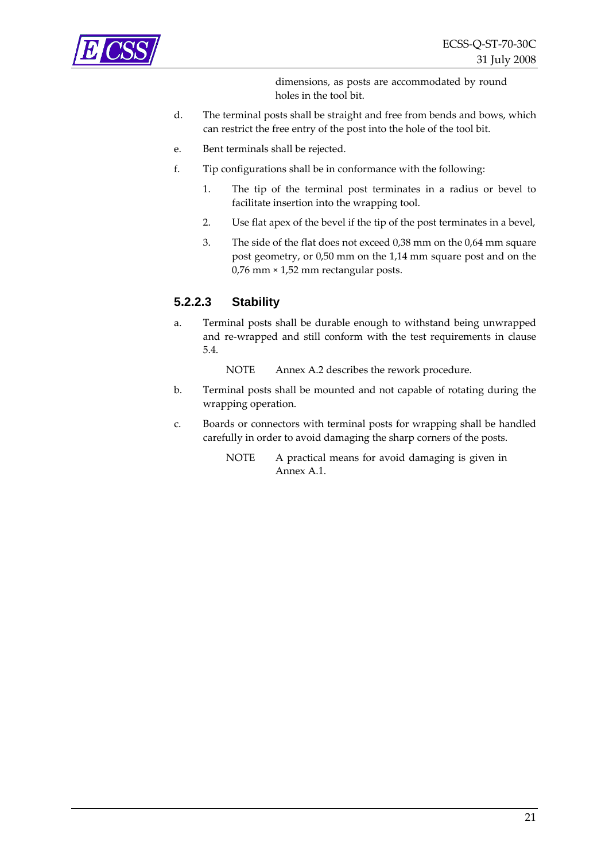

dimensions, as posts are accommodated by round holes in the tool bit.

- d. The terminal posts shall be straight and free from bends and bows, which can restrict the free entry of the post into the hole of the tool bit.
- e. Bent terminals shall be rejected.
- f. Tip configurations shall be in conformance with the following:
	- 1. The tip of the terminal post terminates in a radius or bevel to facilitate insertion into the wrapping tool.
	- 2. Use flat apex of the bevel if the tip of the post terminates in a bevel,
	- 3. The side of the flat does not exceed 0,38 mm on the 0,64 mm square post geometry, or 0,50 mm on the 1,14 mm square post and on the 0,76 mm × 1,52 mm rectangular posts.

#### **5.2.2.3 Stability**

a. Terminal posts shall be durable enough to withstand being unwrapped and re‐wrapped and still conform with the test requirements in clause [5.4](#page-26-2).

NOTE Annex [A.2](#page-41-2) describes the rework procedure.

- b. Terminal posts shall be mounted and not capable of rotating during the wrapping operation.
- c. Boards or connectors with terminal posts for wrapping shall be handled carefully in order to avoid damaging the sharp corners of the posts.
	- NOTE A practical means for avoid damaging is given in Annex [A.1.](#page-38-2)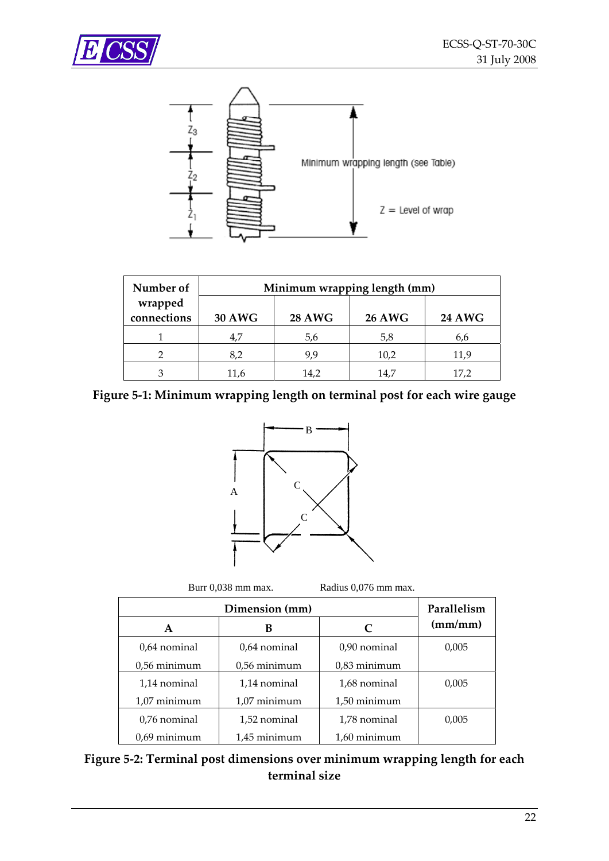<span id="page-21-0"></span>



| Number of<br>Minimum wrapping length (mm) |               |               |               |               |
|-------------------------------------------|---------------|---------------|---------------|---------------|
| wrapped<br>connections                    | <b>30 AWG</b> | <b>28 AWG</b> | <b>26 AWG</b> | <b>24 AWG</b> |
|                                           | 4,7           | 5,6           | 5,8           | 6,6           |
|                                           | 8,2           | 9.9           | 10,2          | 11,9          |
|                                           |               | 14.2          | 14.7          | 17,2          |

<span id="page-21-1"></span>**Figure 5‐1: Minimum wrapping length on terminal post for each wire gauge**



Burr 0,038 mm max. Radius 0,076 mm max.

|                | Parallelism    |                |         |
|----------------|----------------|----------------|---------|
| A              | в              | C              | (mm/mm) |
| 0,64 nominal   | 0.64 nominal   | 0,90 nominal   | 0,005   |
| $0.56$ minimum | $0.56$ minimum | $0.83$ minimum |         |
| 1,14 nominal   | 1,14 nominal   | 1,68 nominal   | 0,005   |
| $1,07$ minimum | $1,07$ minimum | 1,50 minimum   |         |
| 0.76 nominal   | 1,52 nominal   | 1,78 nominal   | 0,005   |
| $0.69$ minimum | 1.45 minimum   | 1.60 minimum   |         |

<span id="page-21-2"></span>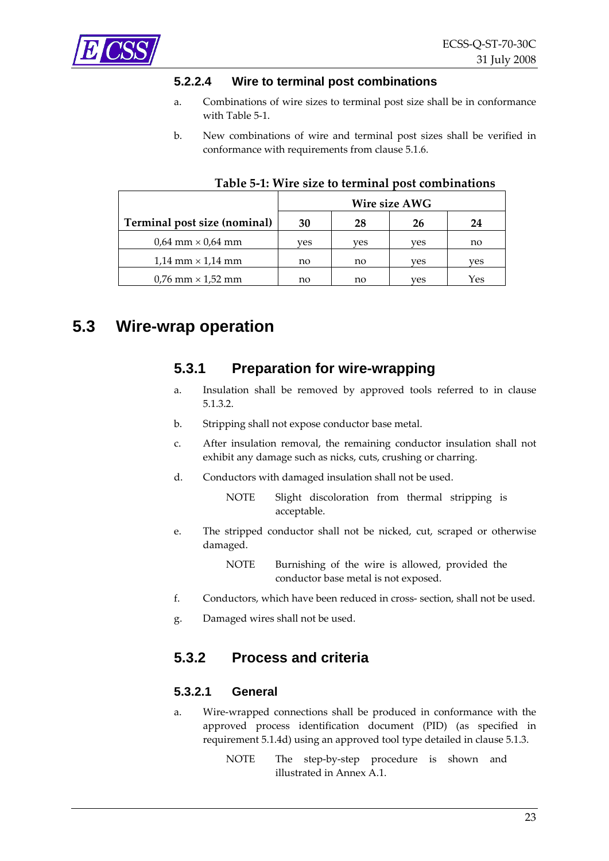<span id="page-22-3"></span><span id="page-22-0"></span>

#### **5.2.2.4 Wire to terminal post combinations**

- a. Combinations of wire sizes to terminal post size shall be in conformance with [Table](#page-22-1) 5‐1.
- b. New combinations of wire and terminal post sizes shall be verified in conformance with requirements from clause [5.1.6.](#page-16-3)

<span id="page-22-1"></span>

|                              | Wire size AWG |     |     |     |
|------------------------------|---------------|-----|-----|-----|
| Terminal post size (nominal) | 30            | 28  | 26  | 24  |
| $0.64$ mm $\times$ 0.64 mm   | ves           | ves | ves | no  |
| $1,14$ mm $\times$ 1,14 mm   | no            | no  | ves | ves |
| $0.76$ mm $\times$ 1.52 mm   | no            | no  | ves | Yes |

#### **Table 5‐1: Wire size to terminal post combinations**

## <span id="page-22-4"></span>**5.3 Wire-wrap operation**

#### **5.3.1 Preparation for wire-wrapping**

- a. Insulation shall be removed by approved tools referred to in clause [5.1.3.2](#page-13-3).
- b. Stripping shall not expose conductor base metal.
- c. After insulation removal, the remaining conductor insulation shall not exhibit any damage such as nicks, cuts, crushing or charring.
- d. Conductors with damaged insulation shall not be used.

NOTE Slight discoloration from thermal stripping is acceptable.

e. The stripped conductor shall not be nicked, cut, scraped or otherwise damaged.

> NOTE Burnishing of the wire is allowed, provided the conductor base metal is not exposed.

- f. Conductors, which have been reduced in cross‐ section, shall not be used.
- g. Damaged wires shall not be used.

#### <span id="page-22-5"></span>**5.3.2 Process and criteria**

#### <span id="page-22-2"></span>**5.3.2.1 General**

- a. Wire‐wrapped connections shall be produced in conformance with the approved process identification document (PID) (as specified in requirement [5.1.4d\)](#page-15-2) using an approved tool type detailed in clause [5.1.3.](#page-13-4)
	- NOTE The step-by-step procedure is shown and illustrated in Annex [A.1.](#page-38-2)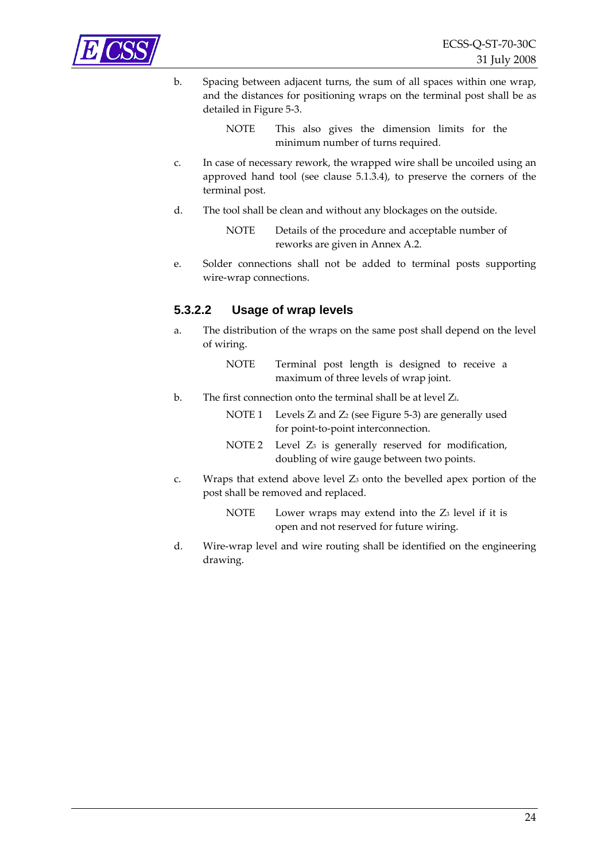<span id="page-23-0"></span>

b. Spacing between adjacent turns, the sum of all spaces within one wrap, and the distances for positioning wraps on the terminal post shall be as detailed in [Figure](#page-24-1) 5‐3.

> NOTE This also gives the dimension limits for the minimum number of turns required.

- c. In case of necessary rework, the wrapped wire shall be uncoiled using an approved hand tool (see clause [5.1.3.4\)](#page-14-2), to preserve the corners of the terminal post.
- d. The tool shall be clean and without any blockages on the outside.

NOTE Details of the procedure and acceptable number of reworks are given in Annex [A.2.](#page-41-2)

e. Solder connections shall not be added to terminal posts supporting wire‐wrap connections.

#### **5.3.2.2 Usage of wrap levels**

a. The distribution of the wraps on the same post shall depend on the level of wiring.

> NOTE Terminal post length is designed to receive a maximum of three levels of wrap joint.

b. The first connection onto the terminal shall be at level Z<sub>l</sub>.

NOTE 1 Levels  $Z_1$  and  $Z_2$  (see [Figure](#page-24-1) 5-3) are generally used for point‐to‐point interconnection.

- NOTE 2 Level Z<sub>3</sub> is generally reserved for modification, doubling of wire gauge between two points.
- c. Wraps that extend above level Z3 onto the bevelled apex portion of the post shall be removed and replaced.
	- NOTE Lower wraps may extend into the  $Z_3$  level if it is open and not reserved for future wiring.
- d. Wire‐wrap level and wire routing shall be identified on the engineering drawing.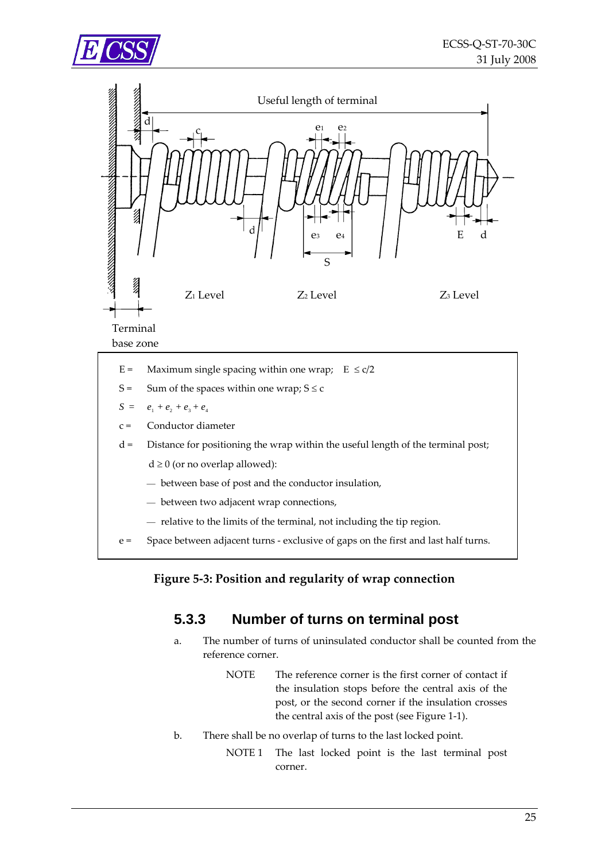<span id="page-24-0"></span>



- E = Maximum single spacing within one wrap;  $E \le c/2$
- S = Sum of the spaces within one wrap;  $S \le c$
- $S = e_1 + e_2 + e_3 + e_4$
- c = Conductor diameter
- $d =$  Distance for positioning the wrap within the useful length of the terminal post;
	- $d \geq 0$  (or no overlap allowed):
	- between base of post and the conductor insulation,
	- $-$  between two adjacent wrap connections,
	- $-$  relative to the limits of the terminal, not including the tip region.
- <span id="page-24-2"></span><span id="page-24-1"></span>e = Space between adjacent turns ‐ exclusive of gaps on the first and last half turns.

#### **Figure 5‐3: Position and regularity of wrap connection**

## **5.3.3 Number of turns on terminal post**

- a. The number of turns of uninsulated conductor shall be counted from the reference corner.
	- NOTE The reference corner is the first corner of contact if the insulation stops before the central axis of the post, or the second corner if the insulation crosses the central axis of the post (see [Figure](#page-7-1) 1‐1).
- b. There shall be no overlap of turns to the last locked point.
	- NOTE 1 The last locked point is the last terminal post corner.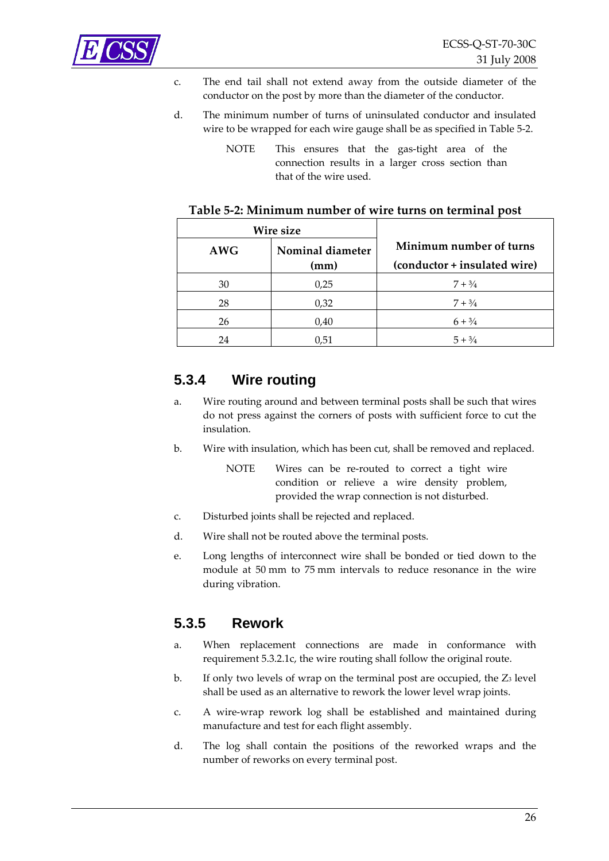<span id="page-25-0"></span>

- c. The end tail shall not extend away from the outside diameter of the conductor on the post by more than the diameter of the conductor.
- d. The minimum number of turns of uninsulated conductor and insulated wire to be wrapped for each wire gauge shall be as specified in [Table](#page-25-1) 5‐2.
	- NOTE This ensures that the gas-tight area of the connection results in a larger cross section than that of the wire used.

<span id="page-25-1"></span>

| Wire size  |                  |                                                         |
|------------|------------------|---------------------------------------------------------|
| <b>AWG</b> | Nominal diameter | Minimum number of turns<br>(conductor + insulated wire) |
|            | (mm)             |                                                         |
| 30         | 0.25             | $7 + \frac{3}{4}$                                       |
| 28         | 0,32             | $7 + 3/4$                                               |
| 26         | 0,40             | $6 + \frac{3}{4}$                                       |
| 24         | 0,51             | $5 + \frac{3}{4}$                                       |

#### **Table 5‐2: Minimum number of wire turns on terminal post**

## **5.3.4 Wire routing**

- a. Wire routing around and between terminal posts shall be such that wires do not press against the corners of posts with sufficient force to cut the insulation.
- b. Wire with insulation, which has been cut, shall be removed and replaced.
	- NOTE Wires can be re-routed to correct a tight wire condition or relieve a wire density problem, provided the wrap connection is not disturbed.
- c. Disturbed joints shall be rejected and replaced.
- d. Wire shall not be routed above the terminal posts.
- e. Long lengths of interconnect wire shall be bonded or tied down to the module at 50 mm to 75 mm intervals to reduce resonance in the wire during vibration.

## <span id="page-25-2"></span>**5.3.5 Rework**

- a. When replacement connections are made in conformance with requirement [5.3.2.1c,](#page-23-0) the wire routing shall follow the original route.
- b. If only two levels of wrap on the terminal post are occupied, the  $Z_3$  level shall be used as an alternative to rework the lower level wrap joints.
- c. A wire‐wrap rework log shall be established and maintained during manufacture and test for each flight assembly.
- d. The log shall contain the positions of the reworked wraps and the number of reworks on every terminal post.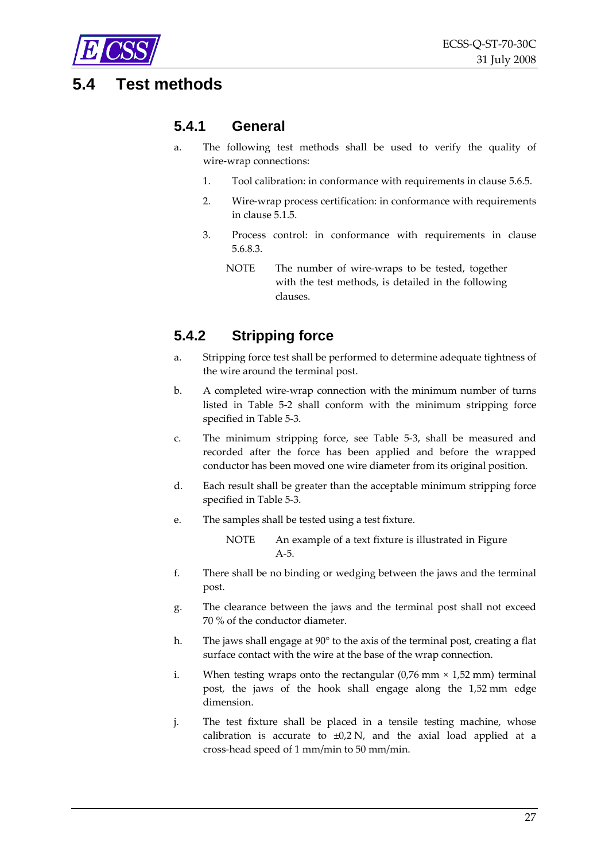<span id="page-26-0"></span>

## <span id="page-26-2"></span>**5.4 Test methods**

## **5.4.1 General**

- a. The following test methods shall be used to verify the quality of wire‐wrap connections:
	- 1. Tool calibration: in conformance with requirements in clause [5.6.5.](#page-35-2)
	- 2. Wire‐wrap process certification: in conformance with requirements in clause [5.1.5](#page-16-2).
	- 3. Process control: in conformance with requirements in clause [5.6.8.3](#page-36-1).
		- NOTE The number of wire-wraps to be tested, together with the test methods, is detailed in the following clauses.

## <span id="page-26-1"></span>**5.4.2 Stripping force**

- a. Stripping force test shall be performed to determine adequate tightness of the wire around the terminal post.
- b. A completed wire‐wrap connection with the minimum number of turns listed in [Table](#page-25-1) 5‐2 shall conform with the minimum stripping force specified in [Table](#page-27-3) 5‐3.
- c. The minimum stripping force, see [Table](#page-27-3) 5‐3, shall be measured and recorded after the force has been applied and before the wrapped conductor has been moved one wire diameter from its original position.
- d. Each result shall be greater than the acceptable minimum stripping force specified in [Table](#page-27-3) 5‐3.
- e. The samples shall be tested using a test fixture.

NOTE An example of a text fixture is illustrated in [Figure](#page-44-1) [A](#page-44-1)‐5.

- f. There shall be no binding or wedging between the jaws and the terminal post.
- g. The clearance between the jaws and the terminal post shall not exceed 70 % of the conductor diameter.
- h. The jaws shall engage at 90° to the axis of the terminal post, creating a flat surface contact with the wire at the base of the wrap connection.
- i. When testing wraps onto the rectangular  $(0.76 \text{ mm} \times 1.52 \text{ mm})$  terminal post, the jaws of the hook shall engage along the 1,52 mm edge dimension.
- j. The test fixture shall be placed in a tensile testing machine, whose calibration is accurate to  $\pm 0.2$  N, and the axial load applied at a cross‐head speed of 1 mm/min to 50 mm/min.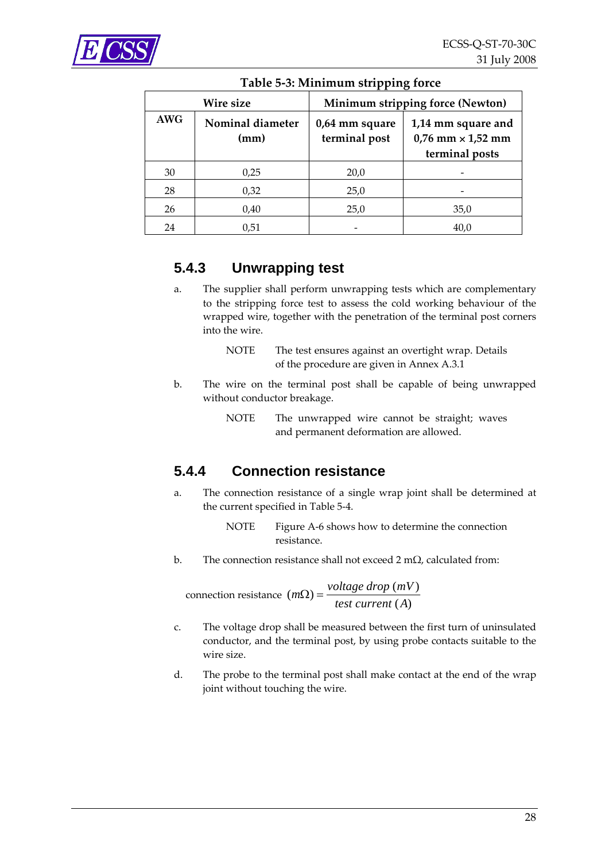<span id="page-27-3"></span><span id="page-27-0"></span>

| Wire size  |                          | Minimum stripping force (Newton) |                                                                    |  |
|------------|--------------------------|----------------------------------|--------------------------------------------------------------------|--|
| <b>AWG</b> | Nominal diameter<br>(mm) | 0,64 mm square<br>terminal post  | 1,14 mm square and<br>$0,76$ mm $\times$ 1,52 mm<br>terminal posts |  |
| 30         | 0,25                     | 20,0                             |                                                                    |  |
| 28         | 0,32                     | 25,0                             |                                                                    |  |
| 26         | 0,40                     | 25,0                             | 35,0                                                               |  |
| 24         | 0,51                     |                                  | 40,0                                                               |  |

#### **Table 5‐3: Minimum stripping force**

## <span id="page-27-2"></span>**5.4.3 Unwrapping test**

- a. The supplier shall perform unwrapping tests which are complementary to the stripping force test to assess the cold working behaviour of the wrapped wire, together with the penetration of the terminal post corners into the wire.
	- NOTE The test ensures against an overtight wrap. Details of the procedure are given in Annex [A.3.1](#page-41-3)
- b. The wire on the terminal post shall be capable of being unwrapped without conductor breakage.
	- NOTE The unwrapped wire cannot be straight; waves and permanent deformation are allowed.

## <span id="page-27-1"></span>**5.4.4 Connection resistance**

a. The connection resistance of a single wrap joint shall be determined at the current specified in [Table](#page-28-3) 5‐4.

> NOTE [Figure](#page-44-2) A-6 shows how to determine the connection resistance.

b. The connection resistance shall not exceed 2 mΩ, calculated from:

connection resistance  $(m\Omega) = \frac{voltage \, drop \, (mV)}{test \, current \, (A)}$ *test current A*  $\Omega$ ) =

- c. The voltage drop shall be measured between the first turn of uninsulated conductor, and the terminal post, by using probe contacts suitable to the wire size.
- d. The probe to the terminal post shall make contact at the end of the wrap joint without touching the wire.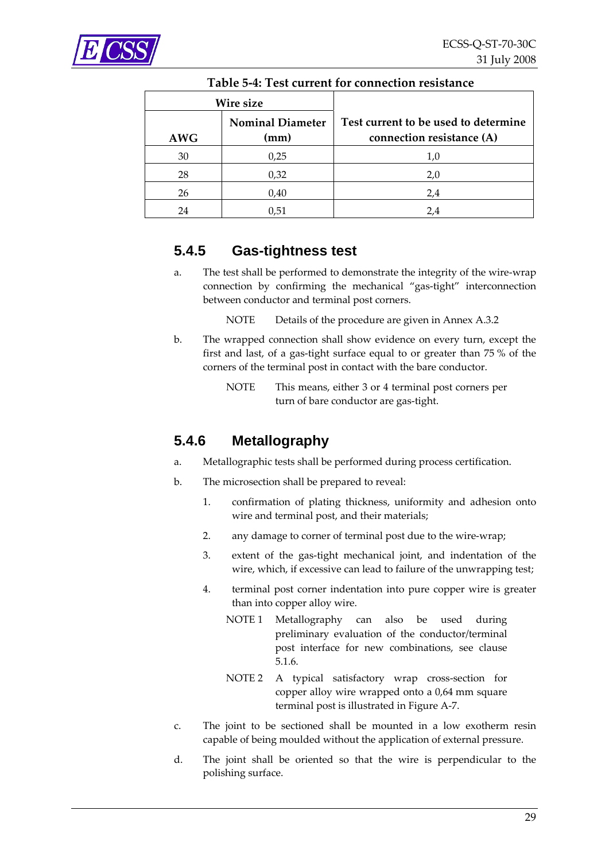<span id="page-28-3"></span><span id="page-28-0"></span>

| Wire size  |                                 |                                                                   |
|------------|---------------------------------|-------------------------------------------------------------------|
| <b>AWG</b> | <b>Nominal Diameter</b><br>(mm) | Test current to be used to determine<br>connection resistance (A) |
| 30         | 0,25                            | 1,0                                                               |
| 28         | 0,32                            | 2,0                                                               |
| 26         | 0,40                            | 2,4                                                               |
| 24         | 0,51                            | 2.4                                                               |

#### **Table 5‐4: Test current for connection resistance**

## <span id="page-28-1"></span>**5.4.5 Gas-tightness test**

- a. The test shall be performed to demonstrate the integrity of the wire‐wrap connection by confirming the mechanical "gas‐tight" interconnection between conductor and terminal post corners.
	- NOTE Details of the procedure are given in Annex [A.3.2](#page-42-0)
- b. The wrapped connection shall show evidence on every turn, except the first and last, of a gas‐tight surface equal to or greater than 75 % of the corners of the terminal post in contact with the bare conductor.
	- NOTE This means, either 3 or 4 terminal post corners per turn of bare conductor are gas‐tight.

## <span id="page-28-2"></span>**5.4.6 Metallography**

- a. Metallographic tests shall be performed during process certification.
- b. The microsection shall be prepared to reveal:
	- 1. confirmation of plating thickness, uniformity and adhesion onto wire and terminal post, and their materials;
	- 2. any damage to corner of terminal post due to the wire-wrap;
	- 3. extent of the gas‐tight mechanical joint, and indentation of the wire, which, if excessive can lead to failure of the unwrapping test;
	- 4. terminal post corner indentation into pure copper wire is greater than into copper alloy wire.
		- NOTE 1 Metallography can also be used during preliminary evaluation of the conductor/terminal post interface for new combinations, see clause [5.1.6](#page-16-3).
		- NOTE 2 A typical satisfactory wrap cross-section for copper alloy wire wrapped onto a 0,64 mm square terminal post is illustrated in [Figure](#page-45-1) A‐7.
- c. The joint to be sectioned shall be mounted in a low exotherm resin capable of being moulded without the application of external pressure.
- d. The joint shall be oriented so that the wire is perpendicular to the polishing surface.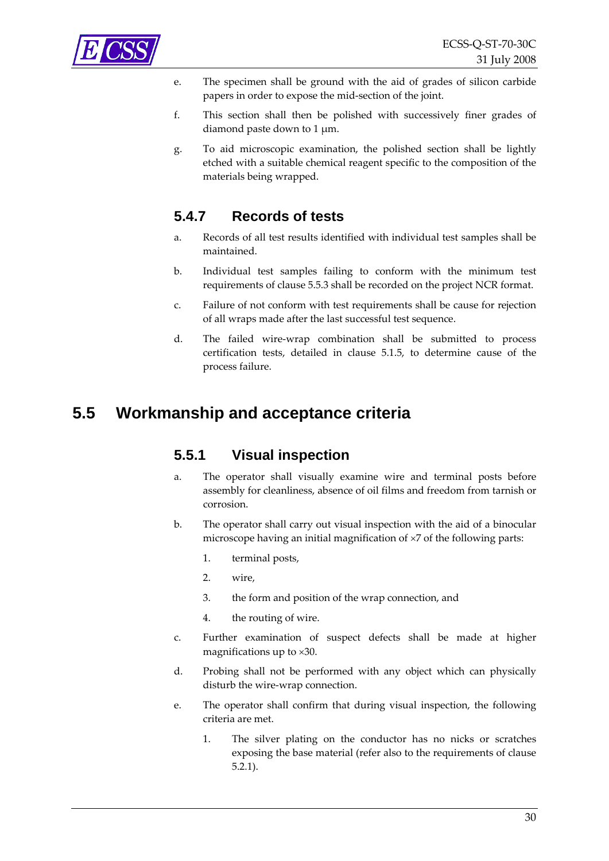<span id="page-29-0"></span>

- e. The specimen shall be ground with the aid of grades of silicon carbide papers in order to expose the mid‐section of the joint.
- f. This section shall then be polished with successively finer grades of diamond paste down to 1 μm.
- g. To aid microscopic examination, the polished section shall be lightly etched with a suitable chemical reagent specific to the composition of the materials being wrapped.

## **5.4.7 Records of tests**

- a. Records of all test results identified with individual test samples shall be maintained.
- b. Individual test samples failing to conform with the minimum test requirements of clause [5.5.3](#page-31-1) shall be recorded on the project NCR format.
- c. Failure of not conform with test requirements shall be cause for rejection of all wraps made after the last successful test sequence.
- d. The failed wire‐wrap combination shall be submitted to process certification tests, detailed in clause [5.1.5](#page-16-2), to determine cause of the process failure.

## <span id="page-29-1"></span>**5.5 Workmanship and acceptance criteria**

## **5.5.1 Visual inspection**

- a. The operator shall visually examine wire and terminal posts before assembly for cleanliness, absence of oil films and freedom from tarnish or corrosion.
- b. The operator shall carry out visual inspection with the aid of a binocular microscope having an initial magnification of ×7 of the following parts:
	- 1. terminal posts,
	- 2. wire,
	- 3. the form and position of the wrap connection, and
	- 4. the routing of wire.
- c. Further examination of suspect defects shall be made at higher magnifications up to ×30.
- d. Probing shall not be performed with any object which can physically disturb the wire‐wrap connection.
- e. The operator shall confirm that during visual inspection, the following criteria are met.
	- 1. The silver plating on the conductor has no nicks or scratches exposing the base material (refer also to the requirements of clause [5.2.1\)](#page-17-1).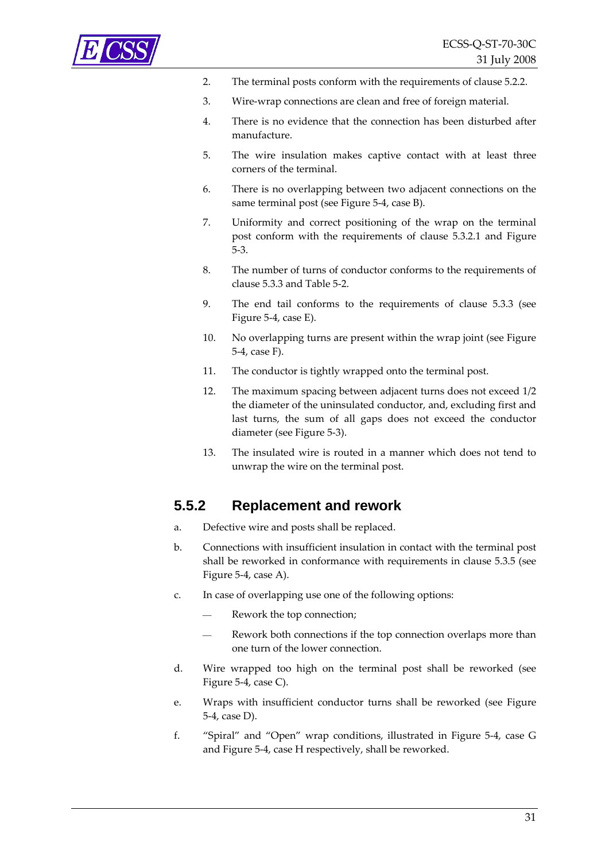<span id="page-30-0"></span>

- 2. The terminal posts conform with the requirements of clause [5.2.2.](#page-19-1)
- 3. Wire‐wrap connections are clean and free of foreign material.
- 4. There is no evidence that the connection has been disturbed after manufacture.
- 5. The wire insulation makes captive contact with at least three corners of the terminal.
- 6. There is no overlapping between two adjacent connections on the same terminal post (see [Figure](#page-31-2) 5-4, case B).
- 7. Uniformity and correct positioning of the wrap on the terminal post conform with the requirements of clause [5.3.2.1](#page-22-2) and [Figure](#page-24-1) [5](#page-24-1)‐3.
- 8. The number of turns of conductor conforms to the requirements of clause [5.3.3](#page-24-2) and [Table](#page-25-1) 5‐2.
- 9. The end tail conforms to the requirements of clause [5.3.3](#page-24-2) (see [Figure](#page-31-2) 5‐4, case E).
- 10. No overlapping turns are present within the wrap joint (see [Figure](#page-31-2) [5](#page-31-2)‐4, case F).
- 11. The conductor is tightly wrapped onto the terminal post.
- 12. The maximum spacing between adjacent turns does not exceed 1/2 the diameter of the uninsulated conductor, and, excluding first and last turns, the sum of all gaps does not exceed the conductor diameter (see [Figure](#page-24-1) 5‐3).
- 13. The insulated wire is routed in a manner which does not tend to unwrap the wire on the terminal post.

## **5.5.2 Replacement and rework**

- a. Defective wire and posts shall be replaced.
- b. Connections with insufficient insulation in contact with the terminal post shall be reworked in conformance with requirements in clause [5.3.5](#page-25-2) (see [Figure](#page-31-2) 5‐4, case A).
- c. In case of overlapping use one of the following options:
	- Rework the top connection;
	- Rework both connections if the top connection overlaps more than one turn of the lower connection.
- d. Wire wrapped too high on the terminal post shall be reworked (see [Figure](#page-31-2) 5‐4, case C).
- e. Wraps with insufficient conductor turns shall be reworked (see [Figure](#page-31-2) 5‐[4,](#page-31-2) case D).
- f. "Spiral" and "Open" wrap conditions, illustrated in [Figure](#page-31-2) 5‐4, case G and [Figure](#page-31-2) 5‐4, case H respectively, shall be reworked.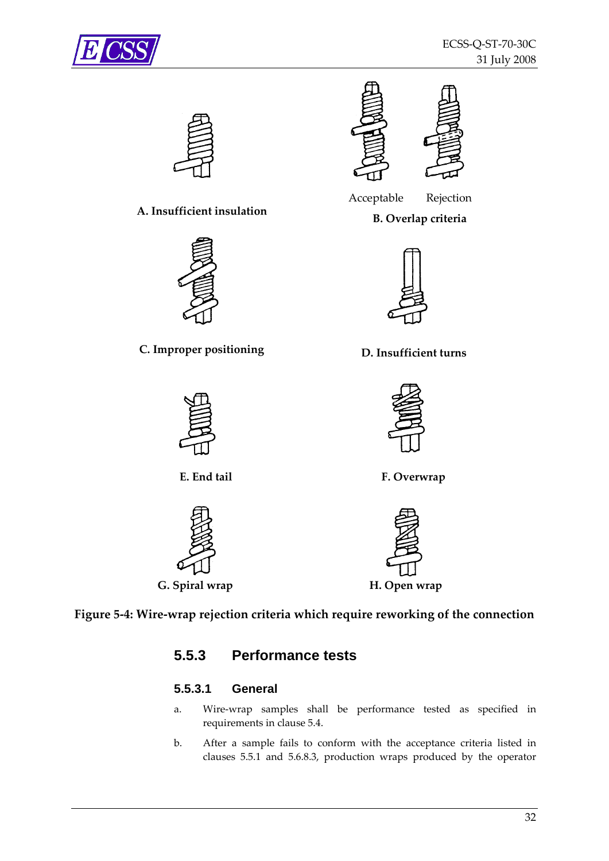<span id="page-31-0"></span>



## **A. Insufficient insulation B. Overlap criteria**











**C. Improper positioning D. Insufficient turns**





**E. End tail F. Overwrap**





#### <span id="page-31-2"></span><span id="page-31-1"></span>**Figure 5‐4: Wire‐wrap rejection criteria which require reworking of the connection**

## **5.5.3 Performance tests**

#### **5.5.3.1 General**

- a. Wire‐wrap samples shall be performance tested as specified in requirements in clause [5.4.](#page-26-2)
- b. After a sample fails to conform with the acceptance criteria listed in clauses [5.5.1](#page-29-1) and [5.6.8.3,](#page-36-1) production wraps produced by the operator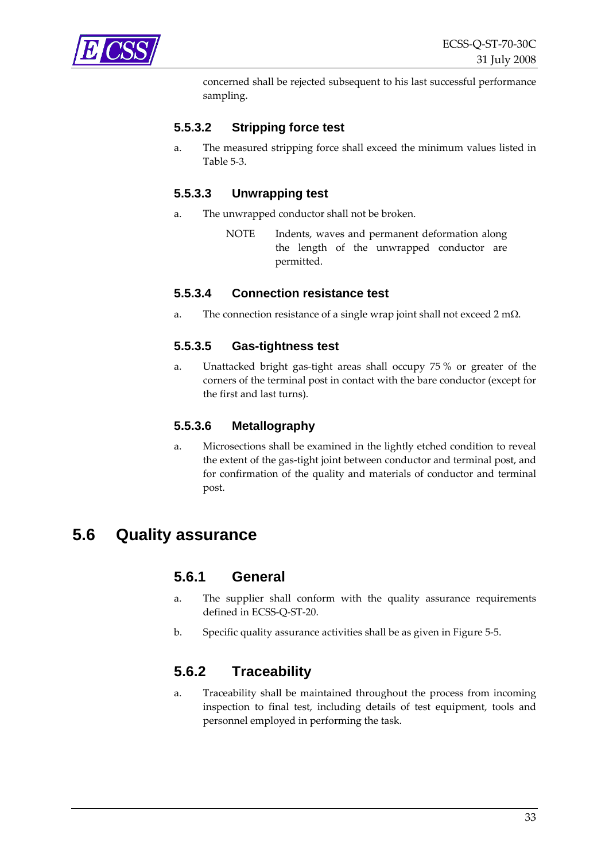<span id="page-32-0"></span>

concerned shall be rejected subsequent to his last successful performance sampling.

#### **5.5.3.2 Stripping force test**

a. The measured stripping force shall exceed the minimum values listed in [Table](#page-27-3) 5‐3.

#### **5.5.3.3 Unwrapping test**

- a. The unwrapped conductor shall not be broken.
	- NOTE Indents, waves and permanent deformation along the length of the unwrapped conductor are permitted.

#### **5.5.3.4 Connection resistance test**

a. The connection resistance of a single wrap joint shall not exceed 2 m $\Omega$ .

#### **5.5.3.5 Gas-tightness test**

a. Unattacked bright gas‐tight areas shall occupy 75 % or greater of the corners of the terminal post in contact with the bare conductor (except for the first and last turns).

#### **5.5.3.6 Metallography**

a. Microsections shall be examined in the lightly etched condition to reveal the extent of the gas‐tight joint between conductor and terminal post, and for confirmation of the quality and materials of conductor and terminal post.

## **5.6 Quality assurance**

#### **5.6.1 General**

- a. The supplier shall conform with the quality assurance requirements defined in ECSS‐Q‐ST‐20.
- b. Specific quality assurance activities shall be as given in [Figure](#page-34-1) 5‐5.

#### **5.6.2 Traceability**

a. Traceability shall be maintained throughout the process from incoming inspection to final test, including details of test equipment, tools and personnel employed in performing the task.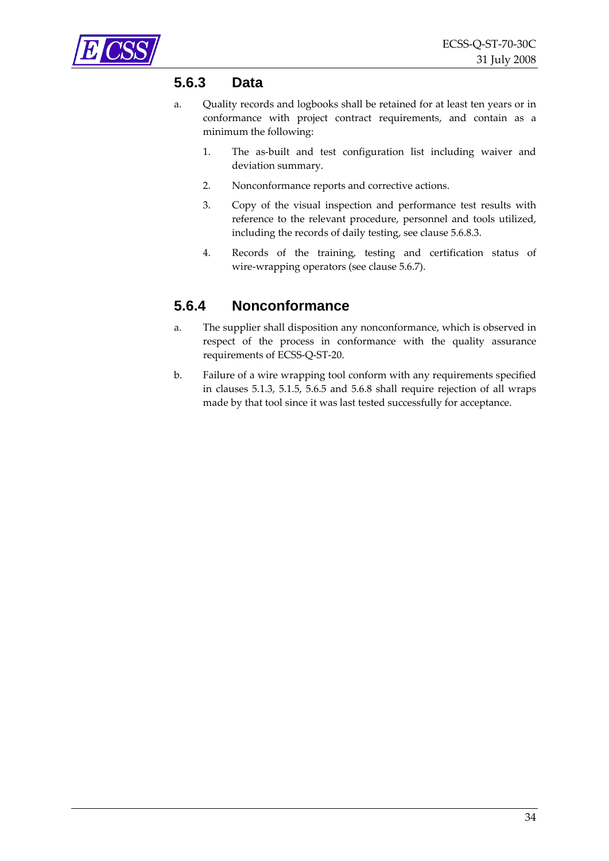<span id="page-33-0"></span>

## **5.6.3 Data**

- a. Quality records and logbooks shall be retained for at least ten years or in conformance with project contract requirements, and contain as a minimum the following:
	- 1. The as‐built and test configuration list including waiver and deviation summary.
	- 2. Nonconformance reports and corrective actions.
	- 3. Copy of the visual inspection and performance test results with reference to the relevant procedure, personnel and tools utilized, including the records of daily testing, see clause [5.6.8.3.](#page-36-1)
	- 4. Records of the training, testing and certification status of wire-wrapping operators (see clause [5.6.7\)](#page-35-1).

## **5.6.4 Nonconformance**

- a. The supplier shall disposition any nonconformance, which is observed in respect of the process in conformance with the quality assurance requirements of ECSS‐Q‐ST‐20.
- b. Failure of a wire wrapping tool conform with any requirements specified in clauses [5.1.3,](#page-13-4) [5.1.5,](#page-16-2) [5.6.5](#page-35-2) and [5.6.8](#page-36-2) shall require rejection of all wraps made by that tool since it was last tested successfully for acceptance.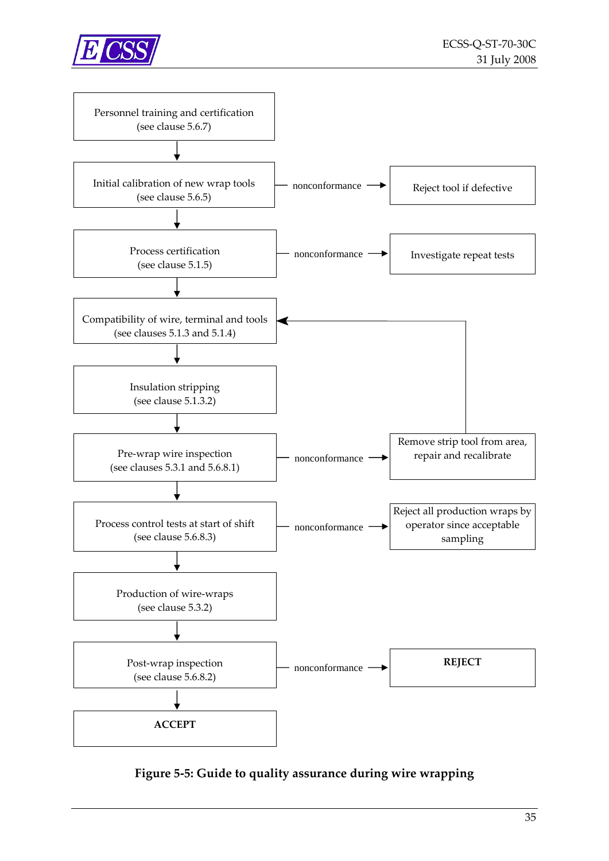<span id="page-34-0"></span>



<span id="page-34-1"></span>**Figure 5‐5: Guide to quality assurance during wire wrapping**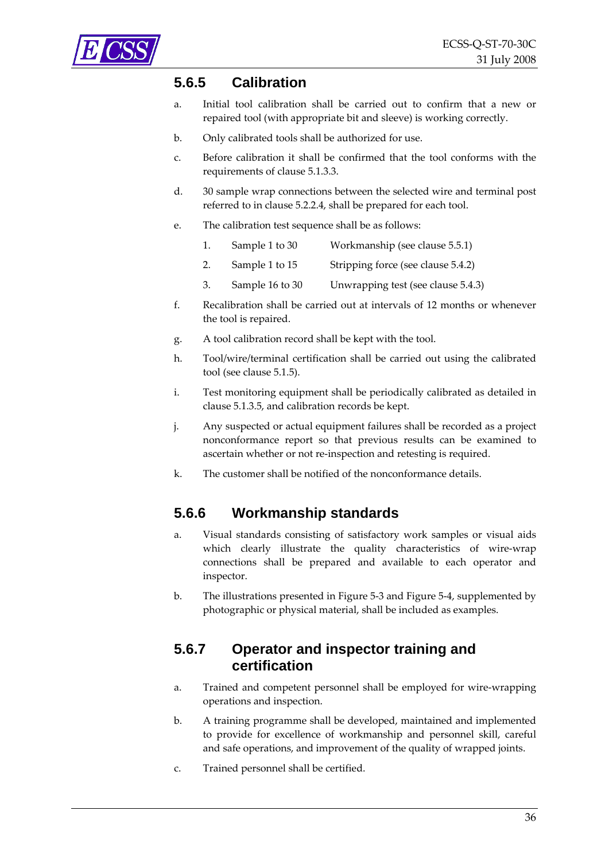<span id="page-35-2"></span><span id="page-35-0"></span>

## **5.6.5 Calibration**

- a. Initial tool calibration shall be carried out to confirm that a new or repaired tool (with appropriate bit and sleeve) is working correctly.
- b. Only calibrated tools shall be authorized for use.
- c. Before calibration it shall be confirmed that the tool conforms with the requirements of clause [5.1.3.3.](#page-14-3)
- d. 30 sample wrap connections between the selected wire and terminal post referred to in clause [5.2.2.4,](#page-22-3) shall be prepared for each tool.
- e. The calibration test sequence shall be as follows:
	- 1. Sample 1 to 30 Workmanship (see clause [5.5.1\)](#page-29-1)
	- 2. Sample 1 to 15 Stripping force (see clause [5.4.2](#page-26-1))
	- 3. Sample 16 to 30 Unwrapping test (see clause [5.4.3](#page-27-2))
- f. Recalibration shall be carried out at intervals of 12 months or whenever the tool is repaired.
- g. A tool calibration record shall be kept with the tool.
- h. Tool/wire/terminal certification shall be carried out using the calibrated tool (see clause [5.1.5\)](#page-16-2).
- i. Test monitoring equipment shall be periodically calibrated as detailed in clause [5.1.3.5,](#page-15-3) and calibration records be kept.
- j. Any suspected or actual equipment failures shall be recorded as a project nonconformance report so that previous results can be examined to ascertain whether or not re‐inspection and retesting is required.
- k. The customer shall be notified of the nonconformance details.

## **5.6.6 Workmanship standards**

- a. Visual standards consisting of satisfactory work samples or visual aids which clearly illustrate the quality characteristics of wire-wrap connections shall be prepared and available to each operator and inspector.
- b. The illustrations presented in [Figure](#page-24-1) 5‐3 and [Figure](#page-31-2) 5‐4, supplemented by photographic or physical material, shall be included as examples.

## <span id="page-35-1"></span>**5.6.7 Operator and inspector training and certification**

- a. Trained and competent personnel shall be employed for wire‐wrapping operations and inspection.
- b. A training programme shall be developed, maintained and implemented to provide for excellence of workmanship and personnel skill, careful and safe operations, and improvement of the quality of wrapped joints.
- c. Trained personnel shall be certified.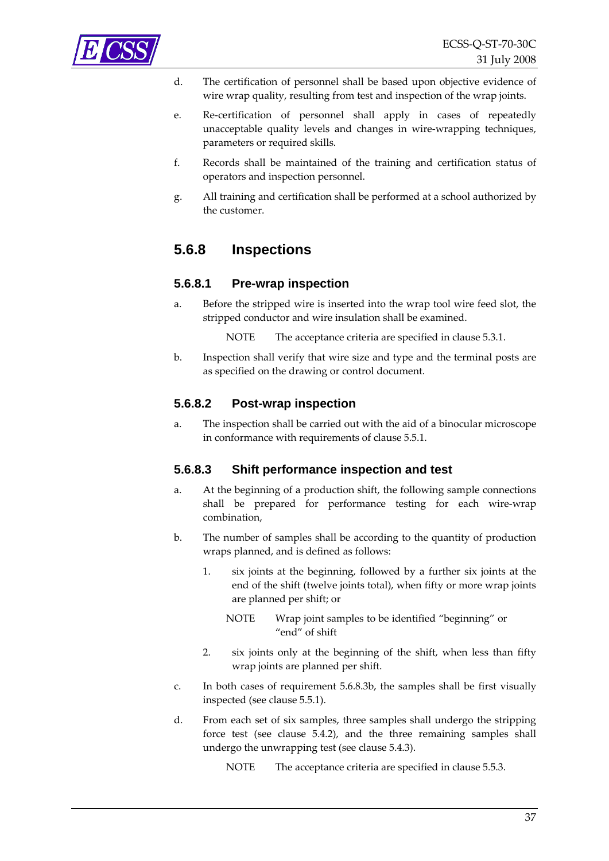<span id="page-36-0"></span>

- d. The certification of personnel shall be based upon objective evidence of wire wrap quality, resulting from test and inspection of the wrap joints.
- e. Re-certification of personnel shall apply in cases of repeatedly unacceptable quality levels and changes in wire‐wrapping techniques, parameters or required skills.
- f. Records shall be maintained of the training and certification status of operators and inspection personnel.
- g. All training and certification shall be performed at a school authorized by the customer.

### <span id="page-36-2"></span>**5.6.8 Inspections**

#### **5.6.8.1 Pre-wrap inspection**

a. Before the stripped wire is inserted into the wrap tool wire feed slot, the stripped conductor and wire insulation shall be examined.

NOTE The acceptance criteria are specified in clause [5.3.1](#page-22-4).

b. Inspection shall verify that wire size and type and the terminal posts are as specified on the drawing or control document.

#### **5.6.8.2 Post-wrap inspection**

a. The inspection shall be carried out with the aid of a binocular microscope in conformance with requirements of clause [5.5.1](#page-29-1).

#### <span id="page-36-1"></span>**5.6.8.3 Shift performance inspection and test**

- a. At the beginning of a production shift, the following sample connections shall be prepared for performance testing for each wire‐wrap combination,
- <span id="page-36-3"></span>b. The number of samples shall be according to the quantity of production wraps planned, and is defined as follows:
	- 1. six joints at the beginning, followed by a further six joints at the end of the shift (twelve joints total), when fifty or more wrap joints are planned per shift; or
		- NOTE Wrap joint samples to be identified "beginning" or "end" of shift
	- 2. six joints only at the beginning of the shift, when less than fifty wrap joints are planned per shift.
- c. In both cases of requirement [5.6.8.3b,](#page-36-3) the samples shall be first visually inspected (see clause [5.5.1\)](#page-29-1).
- d. From each set of six samples, three samples shall undergo the stripping force test (see clause [5.4.2](#page-26-1)), and the three remaining samples shall undergo the unwrapping test (see clause [5.4.3\)](#page-27-2).
	- NOTE The acceptance criteria are specified in clause [5.5.3](#page-31-1).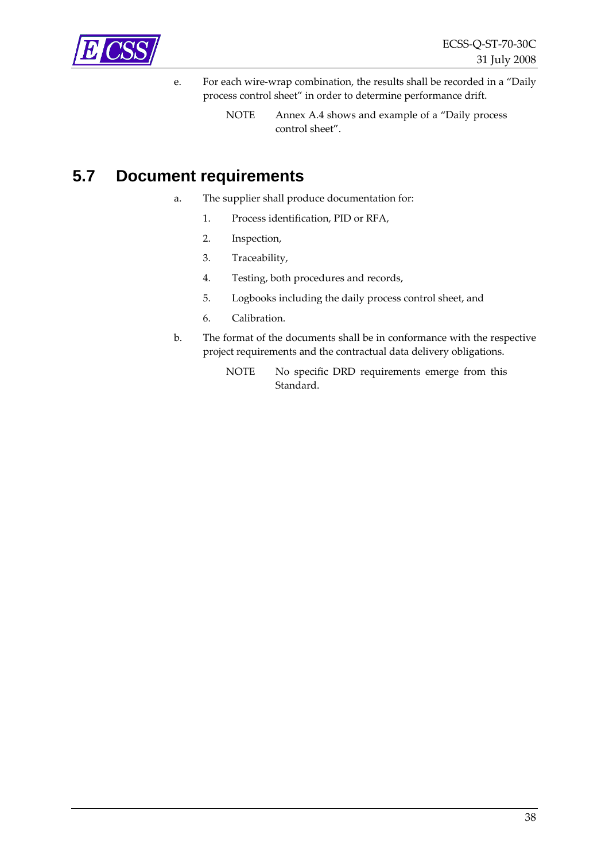<span id="page-37-0"></span>

e. For each wire‐wrap combination, the results shall be recorded in a "Daily process control sheet" in order to determine performance drift.

## **5.7 Document requirements**

- a. The supplier shall produce documentation for:
	- 1. Process identification, PID or RFA,
	- 2. Inspection,
	- 3. Traceability,
	- 4. Testing, both procedures and records,
	- 5. Logbooks including the daily process control sheet, and
	- 6. Calibration.
- b. The format of the documents shall be in conformance with the respective project requirements and the contractual data delivery obligations.
	- NOTE No specific DRD requirements emerge from this Standard.

NOTE Annex [A.4](#page-42-1) shows and example of a "Daily process control sheet".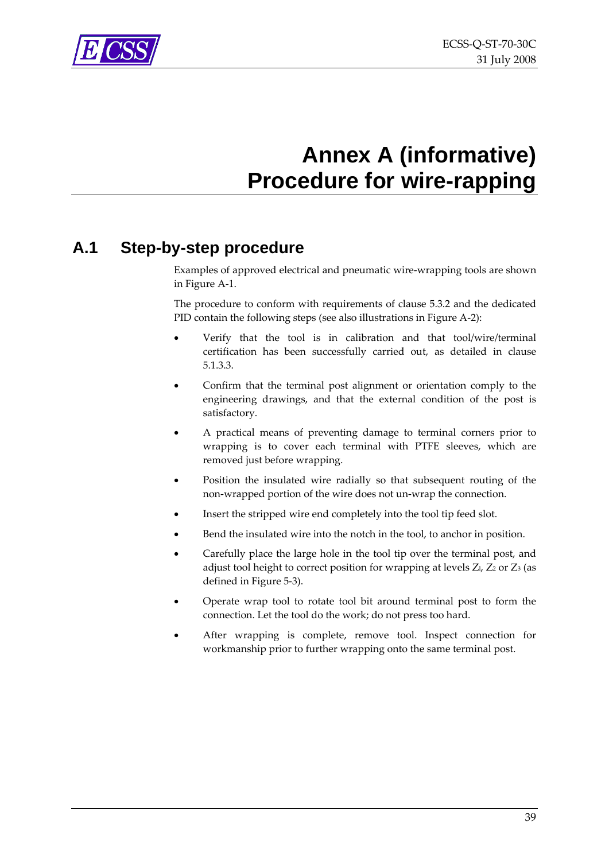<span id="page-38-0"></span>

## **Annex A (informative) Procedure for wire-rapping**

## <span id="page-38-2"></span><span id="page-38-1"></span>**A.1 Step-by-step procedure**

Examples of approved electrical and pneumatic wire‐wrapping tools are shown in [Figure](#page-39-1) A‐1.

The procedure to conform with requirements of clause [5.3.2](#page-22-5) and the dedicated PID contain the following steps (see also illustrations in [Figure](#page-40-1) A‐2):

- Verify that the tool is in calibration and that tool/wire/terminal certification has been successfully carried out, as detailed in clause [5.1.3.3](#page-14-3).
- Confirm that the terminal post alignment or orientation comply to the engineering drawings, and that the external condition of the post is satisfactory.
- A practical means of preventing damage to terminal corners prior to wrapping is to cover each terminal with PTFE sleeves, which are removed just before wrapping.
- Position the insulated wire radially so that subsequent routing of the non‐wrapped portion of the wire does not un‐wrap the connection.
- Insert the stripped wire end completely into the tool tip feed slot.
- Bend the insulated wire into the notch in the tool, to anchor in position.
- Carefully place the large hole in the tool tip over the terminal post, and adjust tool height to correct position for wrapping at levels  $Z_l$ ,  $Z_2$  or  $Z_3$  (as defined in [Figure](#page-24-1) 5‐3).
- Operate wrap tool to rotate tool bit around terminal post to form the connection. Let the tool do the work; do not press too hard.
- After wrapping is complete, remove tool. Inspect connection for workmanship prior to further wrapping onto the same terminal post.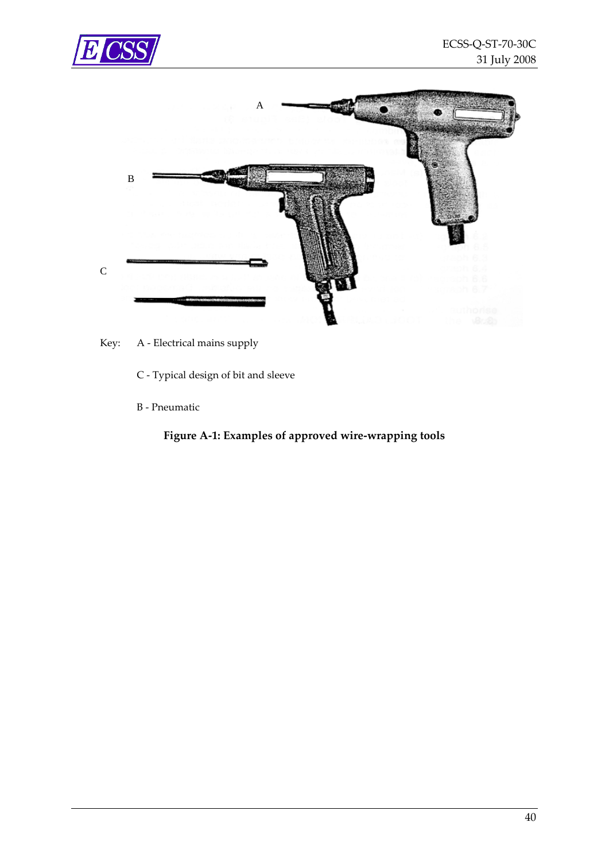<span id="page-39-0"></span>



<span id="page-39-1"></span>Key: A - Electrical mains supply

C ‐ Typical design of bit and sleeve

B ‐ Pneumatic

**Figure A‐1: Examples of approved wire‐wrapping tools**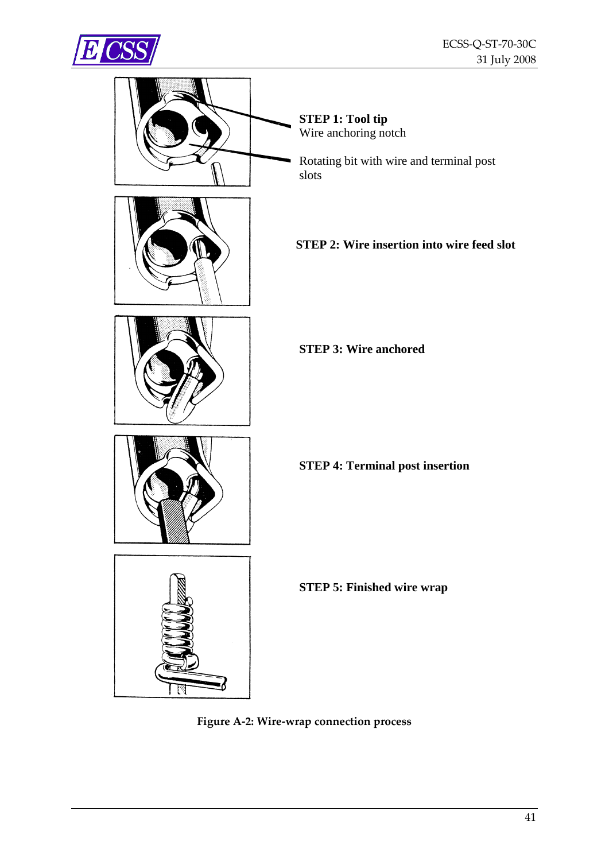<span id="page-40-0"></span>



<span id="page-40-1"></span>**Figure A‐2: Wire‐wrap connection process**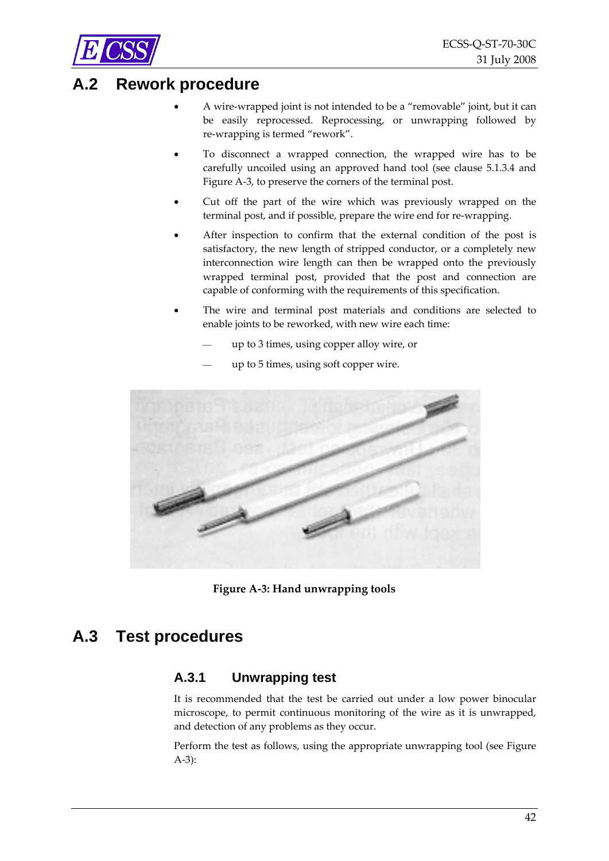

<span id="page-41-0"></span>

## <span id="page-41-2"></span>**A.2 Rework procedure**

- A wire‐wrapped joint is not intended to be a "removable" joint, but it can be easily reprocessed. Reprocessing, or unwrapping followed by re‐wrapping is termed "rework".
- To disconnect a wrapped connection, the wrapped wire has to be carefully uncoiled using an approved hand tool (see clause [5.1.3.4](#page-14-2) and [Figure](#page-41-1) A‐3, to preserve the corners of the terminal post.
- Cut off the part of the wire which was previously wrapped on the terminal post, and if possible, prepare the wire end for re-wrapping.
- After inspection to confirm that the external condition of the post is satisfactory, the new length of stripped conductor, or a completely new interconnection wire length can then be wrapped onto the previously wrapped terminal post, provided that the post and connection are capable of conforming with the requirements of this specification.
- The wire and terminal post materials and conditions are selected to enable joints to be reworked, with new wire each time:
	- ⎯ up to 3 times, using copper alloy wire, or
	- ⎯ up to 5 times, using soft copper wire.



**Figure A‐3: Hand unwrapping tools**

## <span id="page-41-3"></span><span id="page-41-1"></span>**A.3 Test procedures**

#### **A.3.1 Unwrapping test**

It is recommended that the test be carried out under a low power binocular microscope, to permit continuous monitoring of the wire as it is unwrapped, and detection of any problems as they occur.

Perform the test as follows, using the appropriate unwrapping tool (see [Figure](#page-41-1) [A](#page-41-1)‐3):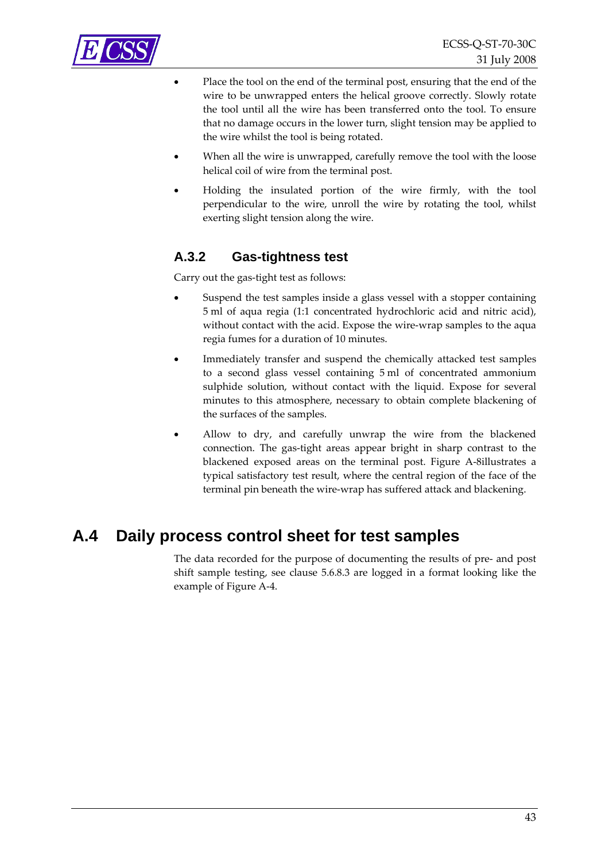

- Place the tool on the end of the terminal post, ensuring that the end of the wire to be unwrapped enters the helical groove correctly. Slowly rotate the tool until all the wire has been transferred onto the tool. To ensure that no damage occurs in the lower turn, slight tension may be applied to the wire whilst the tool is being rotated.
- When all the wire is unwrapped, carefully remove the tool with the loose helical coil of wire from the terminal post.
- Holding the insulated portion of the wire firmly, with the tool perpendicular to the wire, unroll the wire by rotating the tool, whilst exerting slight tension along the wire.

#### <span id="page-42-0"></span>**A.3.2 Gas-tightness test**

Carry out the gas‐tight test as follows:

- Suspend the test samples inside a glass vessel with a stopper containing 5 ml of aqua regia (1:1 concentrated hydrochloric acid and nitric acid), without contact with the acid. Expose the wire-wrap samples to the aqua regia fumes for a duration of 10 minutes.
- Immediately transfer and suspend the chemically attacked test samples to a second glass vessel containing 5 ml of concentrated ammonium sulphide solution, without contact with the liquid. Expose for several minutes to this atmosphere, necessary to obtain complete blackening of the surfaces of the samples.
- Allow to dry, and carefully unwrap the wire from the blackened connection. The gas‐tight areas appear bright in sharp contrast to the blackened exposed areas on the terminal post. [Figure](#page-45-2) A‐8illustrates a typical satisfactory test result, where the central region of the face of the terminal pin beneath the wire‐wrap has suffered attack and blackening.

## <span id="page-42-1"></span>**A.4 Daily process control sheet for test samples**

The data recorded for the purpose of documenting the results of pre‐ and post shift sample testing, see clause [5.6.8.3](#page-36-1) are logged in a format looking like the example of [Figure](#page-43-1) A‐4.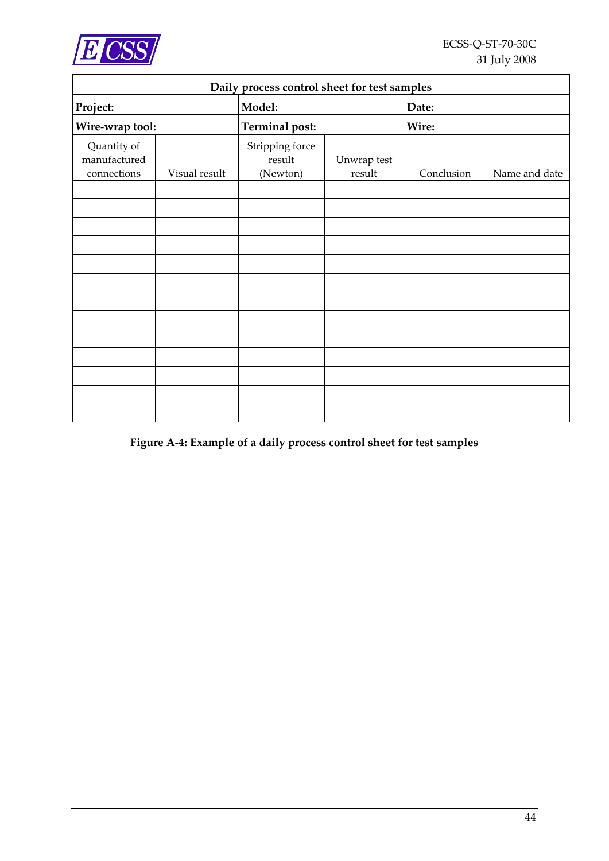<span id="page-43-0"></span>

| Daily process control sheet for test samples |               |                                       |                       |            |               |
|----------------------------------------------|---------------|---------------------------------------|-----------------------|------------|---------------|
| Project:                                     |               | Model:                                |                       | Date:      |               |
| Wire-wrap tool:                              |               | <b>Terminal post:</b>                 |                       | Wire:      |               |
| Quantity of<br>manufactured<br>connections   | Visual result | Stripping force<br>result<br>(Newton) | Unwrap test<br>result | Conclusion | Name and date |
|                                              |               |                                       |                       |            |               |
|                                              |               |                                       |                       |            |               |
|                                              |               |                                       |                       |            |               |
|                                              |               |                                       |                       |            |               |
|                                              |               |                                       |                       |            |               |
|                                              |               |                                       |                       |            |               |
|                                              |               |                                       |                       |            |               |
|                                              |               |                                       |                       |            |               |
|                                              |               |                                       |                       |            |               |
|                                              |               |                                       |                       |            |               |
|                                              |               |                                       |                       |            |               |
|                                              |               |                                       |                       |            |               |
|                                              |               |                                       |                       |            |               |

## <span id="page-43-1"></span>**Figure A‐4: Example of a daily process control sheet for test samples**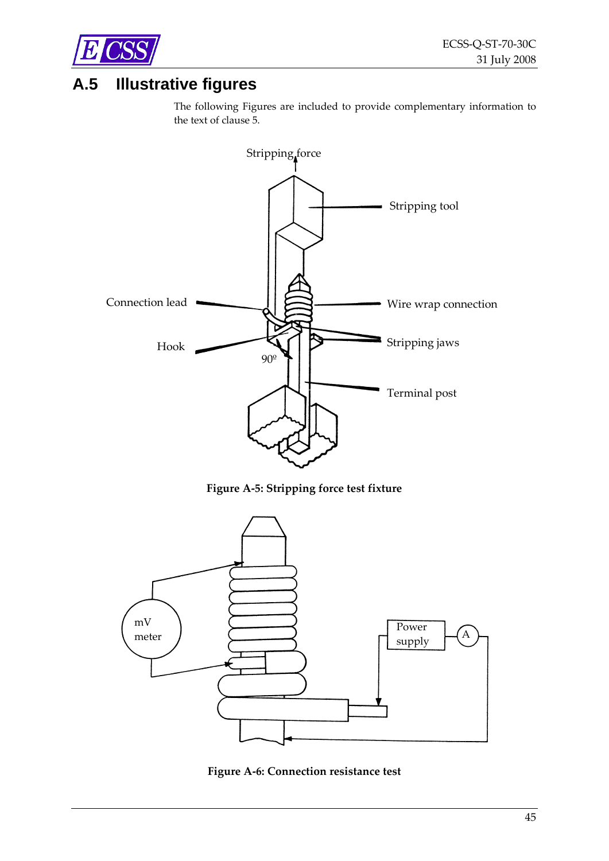<span id="page-44-0"></span>

## **A.5 Illustrative figures**

The following Figures are included to provide complementary information to the text of clause [5.](#page-12-1)



**Figure A‐5: Stripping force test fixture**

<span id="page-44-1"></span>

<span id="page-44-2"></span>**Figure A‐6: Connection resistance test**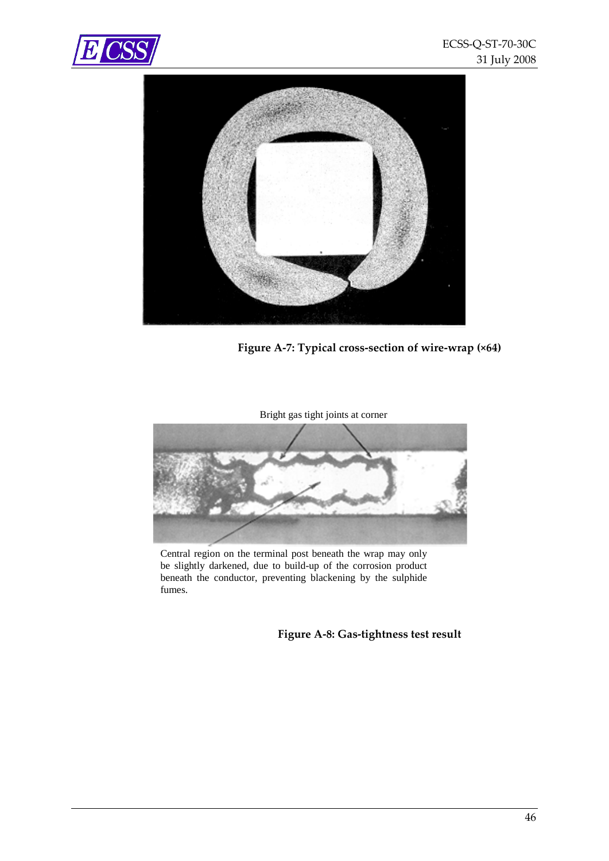<span id="page-45-0"></span>



**Figure A‐7: Typical cross‐section of wire‐wrap (×64)**

<span id="page-45-1"></span>Bright gas tight joints at corner



<span id="page-45-2"></span>Central region on the terminal post beneath the wrap may only be slightly darkened, due to build-up of the corrosion product beneath the conductor, preventing blackening by the sulphide fumes.

**Figure A‐8: Gas‐tightness test result**